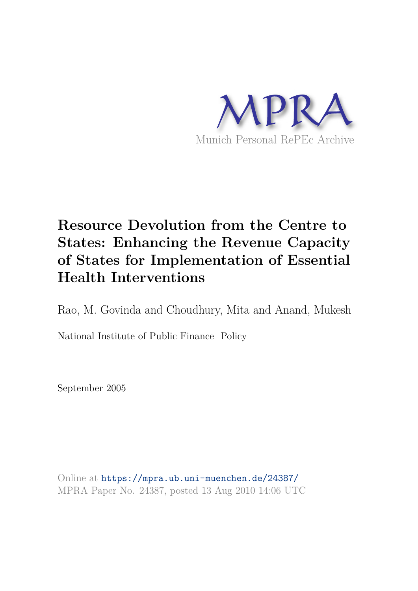

# **Resource Devolution from the Centre to States: Enhancing the Revenue Capacity of States for Implementation of Essential Health Interventions**

Rao, M. Govinda and Choudhury, Mita and Anand, Mukesh

National Institute of Public Finance Policy

September 2005

Online at https://mpra.ub.uni-muenchen.de/24387/ MPRA Paper No. 24387, posted 13 Aug 2010 14:06 UTC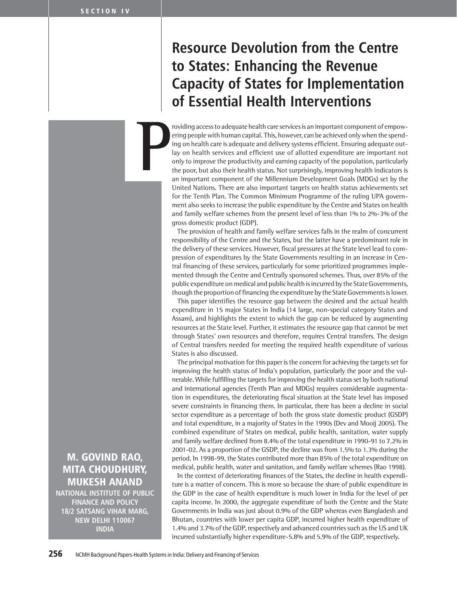# Resource Devolution from the Centre to States: Enhancing the Revenue Capacity of States for Implementation of Essential Health Interventions

roviding access to adequate health care services is an important component of empowering people with human capital. This, however, can be achieved only when the spending on health care is adequate and delivery systems efficient. Ensuring adequate outlay on health services and efficient use of allotted expenditure are important not only to improve the productivity and earning capacity of the population, particularly the poor, but also their health status. Not surprisingly, improving health indicators is an important component of the Millennium Development Goals (MDGs) set by the United Nations. There are also important targets on health status achievements set for the Tenth Plan. The Common Minimum Programme of the ruling UPA government also seeks to increase the public expenditure by the Centre and States on health and family welfare schemes from the present level of less than 1% to 2%-3% of the gross domestic product (GDP). **P**

> The provision of health and family welfare services falls in the realm of concurrent responsibility of the Centre and the States, but the latter have a predominant role in the delivery of these services. However, fiscal pressures at the State level lead to compression of expenditures by the State Governments resulting in an increase in Central financing of these services, particularly for some prioritized programmes implemented through the Centre and Centrally sponsored schemes. Thus, over 85% of the public expenditure on medical and public health is incurred by the State Governments, though the proportion of financing the expenditure by the State Governments is lower.

> This paper identifies the resource gap between the desired and the actual health expenditure in 15 major States in India (14 large, non-special category States and Assam), and highlights the extent to which the gap can be reduced by augmenting resources at the State level. Further, it estimates the resource gap that cannot be met through States' own resources and therefore, requires Central transfers. The design of Central transfers needed for meeting the required health expenditure of various States is also discussed.

> The principal motivation for this paper is the concern for achieving the targets set for improving the health status of India's population, particularly the poor and the vulnerable. While fulfilling the targets for improving the health status set by both national and international agencies (Tenth Plan and MDGs) requires considerable augmentation in expenditures, the deteriorating fiscal situation at the State level has imposed severe constraints in financing them. In particular, there has been a decline in social sector expenditure as a percentage of both the gross state domestic product (GSDP) and total expenditure, in a majority of States in the 1990s (Dev and Mooij 2005). The combined expenditure of States on medical, public health, sanitation, water supply and family welfare declined from 8.4% of the total expenditure in 1990-91 to 7.2% in 2001-02. As a proportion of the GSDP, the decline was from 1.5% to 1.3% during the period. In 1998-99, the States contributed more than 85% of the total expenditure on medical, public health, water and sanitation, and family welfare schemes (Rao 1998).

> In the context of deteriorating finances of the States, the decline in health expenditure is a matter of concern. This is more so because the share of public expenditure in the GDP in the case of health expenditure is much lower in India for the level of per capita income. In 2000, the aggregate expenditure of both the Centre and the State Governments in India was just about 0.9% of the GDP whereas even Bangladesh and Bhutan, countries with lower per capita GDP, incurred higher health expenditure of 1.4% and 3.7% of the GDP, respectively and advanced countries such as the US and UK incurred substantially higher expenditure-5.8% and 5.9% of the GDP, respectively.

MITA CHOUDHURY, MUKESH ANAND NATIONAL INSTITUTE OF PUBLIC FINANCE AND POLICY 18/2 SATSANG VIHAR MARG, NEW DELHI 110067

INDIA

M. GOVIND RAO,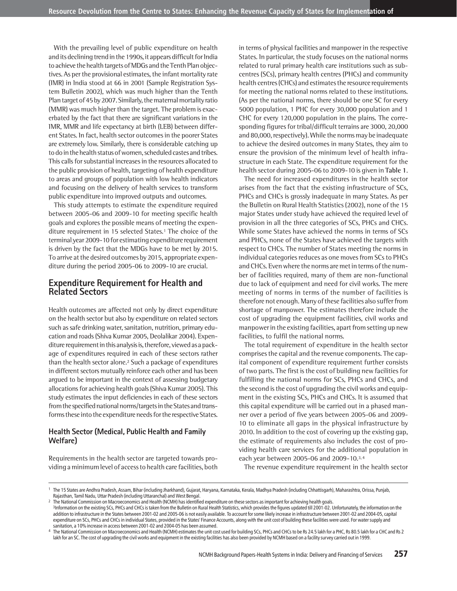With the prevailing level of public expenditure on health and its declining trend in the 1990s, it appears difficult for India to achieve the health targets of MDGs and the Tenth Plan objectives. As per the provisional estimates, the infant mortality rate (IMR) in India stood at 66 in 2001 (Sample Registration System Bulletin 2002), which was much higher than the Tenth Plan target of 45 by 2007. Similarly, the maternal mortality ratio (MMR) was much higher than the target. The problem is exacerbated by the fact that there are significant variations in the IMR, MMR and life expectancy at birth (LEB) between different States. In fact, health sector outcomes in the poorer States are extremely low. Similarly, there is considerable catching up to do in the health status of women, scheduled castes and tribes. This calls for substantial increases in the resources allocated to the public provision of health, targeting of health expenditure to areas and groups of population with low health indicators and focusing on the delivery of health services to transform public expenditure into improved outputs and outcomes.

This study attempts to estimate the expenditure required between 2005-06 and 2009-10 for meeting specific health goals and explores the possible means of meeting the expenditure requirement in 15 selected States.<sup>1</sup> The choice of the terminal year 2009-10 for estimating expenditure requirement is driven by the fact that the MDGs have to be met by 2015. To arrive at the desired outcomes by 2015, appropriate expenditure during the period 2005-06 to 2009-10 are crucial.

### **Expenditure Requirement for Health and Related Sectors**

Health outcomes are affected not only by direct expenditure on the health sector but also by expenditure on related sectors such as safe drinking water, sanitation, nutrition, primary education and roads (Shiva Kumar 2005, Deolalikar 2004). Expenditure requirement in this analysis is, therefore, viewed as a package of expenditures required in each of these sectors rather than the health sector alone.<sup>2</sup> Such a package of expenditures in different sectors mutually reinforce each other and has been argued to be important in the context of assessing budgetary allocations for achieving health goals (Shiva Kumar 2005). This study estimates the input deficiencies in each of these sectors from the specified national norms/targets in the States and transforms these into the expenditure needs for the respective States.

### **Health Sector (Medical, Public Health and Family Welfare)**

Requirements in the health sector are targeted towards providing a minimum level of access to health care facilities, both

in terms of physical facilities and manpower in the respective States. In particular, the study focuses on the national norms related to rural primary health care institutions such as subcentres (SCs), primary health centres (PHCs) and community health centres (CHCs) and estimates the resource requirements for meeting the national norms related to these institutions. (As per the national norms, there should be one SC for every 5000 population, 1 PHC for every 30,000 population and 1 CHC for every 120,000 population in the plains. The corresponding figures for tribal/difficult terrains are 3000, 20,000 and 80,000, respectively). While the norms may be inadequate to achieve the desired outcomes in many States, they aim to ensure the provision of the minimum level of health infrastructure in each State. The expenditure requirement for the health sector during 2005-06 to 2009-10 is given in **Table 1**.

The need for increased expenditures in the health sector arises from the fact that the existing infrastructure of SCs, PHCs and CHCs is grossly inadequate in many States. As per the Bulletin on Rural Health Statistics (2002), none of the 15 major States under study have achieved the required level of provision in all the three categories of SCs, PHCs and CHCs. While some States have achieved the norms in terms of SCs and PHCs, none of the States have achieved the targets with respect to CHCs. The number of States meeting the norms in individual categories reduces as one moves from SCs to PHCs and CHCs. Even where the norms are met in terms of the number of facilities required, many of them are non-functional due to lack of equipment and need for civil works. The mere meeting of norms in terms of the number of facilities is therefore not enough. Many of these facilities also suffer from shortage of manpower. The estimates therefore include the cost of upgrading the equipment facilities, civil works and manpower in the existing facilities, apart from setting up new facilities, to fulfil the national norms.

The total requirement of expenditure in the health sector comprises the capital and the revenue components. The capital component of expenditure requirement further consists of two parts. The first is the cost of building new facilities for fulfilling the national norms for SCs, PHCs and CHCs, and the second is the cost of upgrading the civil works and equipment in the existing SCs, PHCs and CHCs. It is assumed that this capital expenditure will be carried out in a phased manner over a period of five years between 2005-06 and 2009- 10 to eliminate all gaps in the physical infrastructure by 2010. In addition to the cost of covering up the existing gap, the estimate of requirements also includes the cost of providing health care services for the additional population in each year between 2005-06 and 2009-10.3,4

The revenue expenditure requirement in the health sector

<sup>1</sup> The 15 States are Andhra Pradesh, Assam, Bihar (including Jharkhand), Gujarat, Haryana, Karnataka, Kerala, Madhya Pradesh (including Chhattisgarh), Maharashtra, Orissa, Punjab, Rajasthan, Tamil Nadu, Uttar Pradesh (including Uttaranchal) and West Bengal.

<sup>&</sup>lt;sup>2</sup> The National Commission on Macroeconomics and Health (NCMH) has identified expenditure on these sectors as important for achieving health goals. 3 Information on the existing SCs, PHCs and CHCs is taken from the Bulletin on Rural Health Statistics, which provides the figures updated till 2001-02. Unfortunately, the information on the addition to infrastructure in the States between 2001-02 and 2005-06 is not easily available. To account for some likely increase in infrastructure between 2001-02 and 2004-05, capital expenditure on SCs, PHCs and CHCs in individual States, provided in the States' Finance Accounts, along with the unit cost of building these facilities were used. For water supply and

sanitation, a 10% increase in access between 2001-02 and 2004-05 has been assumed. <sup>4</sup> The National Commission on Macroeconomics and Health (NCMH) estimates the unit cost used for building SCs, PHCs and CHCs to be Rs 24.5 lakh for a PHC, Rs 80.5 lakh for a CHC and Rs 2

lakh for an SC. The cost of upgrading the civil works and equipment in the existing facilities has also been provided by NCMH based on a facility survey carried out in 1999.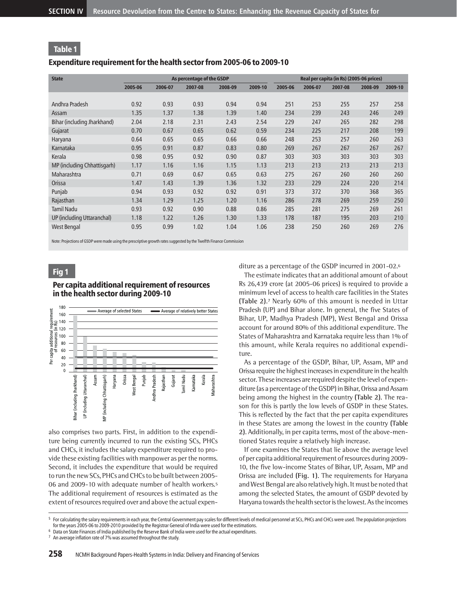#### Expenditure requirement for the health sector from 2005-06 to 2009-10

| <b>State</b>                |         |         | As percentage of the GSDP |         |         | Real per capita (in Rs) (2005-06 prices) |         |         |         |         |  |
|-----------------------------|---------|---------|---------------------------|---------|---------|------------------------------------------|---------|---------|---------|---------|--|
|                             | 2005-06 | 2006-07 | 2007-08                   | 2008-09 | 2009-10 | 2005-06                                  | 2006-07 | 2007-08 | 2008-09 | 2009-10 |  |
|                             |         |         |                           |         |         |                                          |         |         |         |         |  |
| Andhra Pradesh              | 0.92    | 0.93    | 0.93                      | 0.94    | 0.94    | 251                                      | 253     | 255     | 257     | 258     |  |
| Assam                       | 1.35    | 1.37    | 1.38                      | 1.39    | 1.40    | 234                                      | 239     | 243     | 246     | 249     |  |
| Bihar (including Jharkhand) | 2.04    | 2.18    | 2.31                      | 2.43    | 2.54    | 229                                      | 247     | 265     | 282     | 298     |  |
| Gujarat                     | 0.70    | 0.67    | 0.65                      | 0.62    | 0.59    | 234                                      | 225     | 217     | 208     | 199     |  |
| Haryana                     | 0.64    | 0.65    | 0.65                      | 0.66    | 0.66    | 248                                      | 253     | 257     | 260     | 263     |  |
| Karnataka                   | 0.95    | 0.91    | 0.87                      | 0.83    | 0.80    | 269                                      | 267     | 267     | 267     | 267     |  |
| Kerala                      | 0.98    | 0.95    | 0.92                      | 0.90    | 0.87    | 303                                      | 303     | 303     | 303     | 303     |  |
| MP (including Chhattisgarh) | 1.17    | 1.16    | 1.16                      | 1.15    | 1.13    | 213                                      | 213     | 213     | 213     | 213     |  |
| Maharashtra                 | 0.71    | 0.69    | 0.67                      | 0.65    | 0.63    | 275                                      | 267     | 260     | 260     | 260     |  |
| Orissa                      | 1.47    | 1.43    | 1.39                      | 1.36    | 1.32    | 233                                      | 229     | 224     | 220     | 214     |  |
| Punjab                      | 0.94    | 0.93    | 0.92                      | 0.92    | 0.91    | 373                                      | 372     | 370     | 368     | 365     |  |
| Rajasthan                   | 1.34    | 1.29    | 1.25                      | 1.20    | 1.16    | 286                                      | 278     | 269     | 259     | 250     |  |
| <b>Tamil Nadu</b>           | 0.93    | 0.92    | 0.90                      | 0.88    | 0.86    | 285                                      | 281     | 275     | 269     | 261     |  |
| UP (including Uttaranchal)  | 1.18    | 1.22    | 1.26                      | 1.30    | 1.33    | 178                                      | 187     | 195     | 203     | 210     |  |
| <b>West Bengal</b>          | 0.95    | 0.99    | 1.02                      | 1.04    | 1.06    | 238                                      | 250     | 260     | 269     | 276     |  |

Note: Projections of GSDP were made using the prescriptive growth rates suggested by the Twelfth Finance Commission

# Fig 1

### Per capita additional requirement of resources in the health sector during 2009-10



also comprises two parts. First, in addition to the expenditure being currently incurred to run the existing SCs, PHCs and CHCs, it includes the salary expenditure required to provide these existing facilities with manpower as per the norms. Second, it includes the expenditure that would be required to run the new SCs, PHCs and CHCs to be built between 2005- 06 and 2009-10 with adequate number of health workers.<sup>5</sup> The additional requirement of resources is estimated as the extent of resources required over and above the actual expenditure as a percentage of the GSDP incurred in 2001-02.<sup>6</sup>

The estimate indicates that an additional amount of about Rs 26,439 crore (at 2005-06 prices) is required to provide a minimum level of access to health care facilities in the States **(Table 2)**. <sup>7</sup> Nearly 60% of this amount is needed in Uttar Pradesh (UP) and Bihar alone. In general, the five States of Bihar, UP, Madhya Pradesh (MP), West Bengal and Orissa account for around 80% of this additional expenditure. The States of Maharashtra and Karnataka require less than 1% of this amount, while Kerala requires no additional expenditure.

As a percentage of the GSDP, Bihar, UP, Assam, MP and Orissa require the highest increases in expenditure in the health sector. These increases are required despite the level of expenditure (as a percentage of the GSDP) in Bihar, Orissa and Assam being among the highest in the country **(Table 2)**. The reason for this is partly the low levels of GSDP in these States. This is reflected by the fact that the per capita expenditures in these States are among the lowest in the country **(Table 2)**. Additionally, in per capita terms, most of the above-mentioned States require a relatively high increase.

If one examines the States that lie above the average level of per capita additional requirement of resources during 2009- 10, the five low-income States of Bihar, UP, Assam, MP and Orissa are included **(Fig. 1)**. The requirements for Haryana and West Bengal are also relatively high. It must be noted that among the selected States, the amount of GSDP devoted by Haryana towards the health sector is the lowest. As the incomes

<sup>5</sup> For calculating the salary requirements in each year, the Central Government pay scales for different levels of medical personnel at SCs, PHCs and CHCs were used. The population projections for the years 2005-06 to 2009-2010 provided by the Registrar General of India were used for the estimations.

 $6$  Data on State Finances of India published by the Reserve Bank of India were used for the actual expenditures.

<sup>&</sup>lt;sup>7</sup> An average inflation rate of 7% was assumed throughout the study.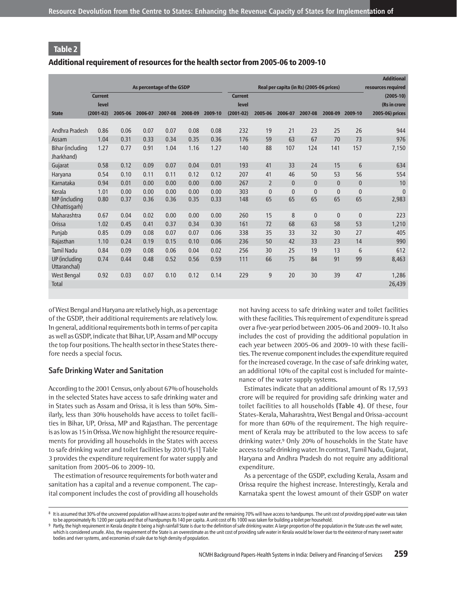### Additional requirement of resources for the health sector from 2005-06 to 2009-10

|                                |                |         |         |                           |         |         |                |                |                                          |              |              |              | <b>Additional</b>                 |
|--------------------------------|----------------|---------|---------|---------------------------|---------|---------|----------------|----------------|------------------------------------------|--------------|--------------|--------------|-----------------------------------|
|                                | <b>Current</b> |         |         | As percentage of the GSDP |         |         | <b>Current</b> |                | Real per capita (in Rs) (2005-06 prices) |              |              |              | resources required<br>$(2005-10)$ |
|                                | level          |         |         |                           |         |         | level          |                |                                          |              |              |              | (Rs in crore                      |
| <b>State</b>                   | $(2001 - 02)$  | 2005-06 | 2006-07 | 2007-08                   | 2008-09 | 2009-10 | $(2001-02)$    | 2005-06        | 2006-07                                  | 2007-08      | 2008-09      | 2009-10      | 2005-06) prices                   |
|                                |                |         |         |                           |         |         |                |                |                                          |              |              |              |                                   |
| Andhra Pradesh                 | 0.86           | 0.06    | 0.07    | 0.07                      | 0.08    | 0.08    | 232            | 19             | 21                                       | 23           | 25           | 26           | 944                               |
| Assam                          | 1.04           | 0.31    | 0.33    | 0.34                      | 0.35    | 0.36    | 176            | 59             | 63                                       | 67           | 70           | 73           | 976                               |
| Bihar (including<br>Jharkhand) | 1.27           | 0.77    | 0.91    | 1.04                      | 1.16    | 1.27    | 140            | 88             | 107                                      | 124          | 141          | 157          | 7,150                             |
| Gujarat                        | 0.58           | 0.12    | 0.09    | 0.07                      | 0.04    | 0.01    | 193            | 41             | 33                                       | 24           | 15           | 6            | 634                               |
| Haryana                        | 0.54           | 0.10    | 0.11    | 0.11                      | 0.12    | 0.12    | 207            | 41             | 46                                       | 50           | 53           | 56           | 554                               |
| Karnataka                      | 0.94           | 0.01    | 0.00    | 0.00                      | 0.00    | 0.00    | 267            | $\overline{2}$ | $\Omega$                                 | $\Omega$     | $\mathbf{0}$ | $\mathbf{0}$ | 10                                |
| Kerala                         | 1.01           | 0.00    | 0.00    | 0.00                      | 0.00    | 0.00    | 303            | $\mathbf{0}$   | $\overline{0}$                           | $\mathbf{0}$ | $\mathbf{0}$ | $\mathbf{0}$ | $\mathbf{0}$                      |
| MP (including<br>Chhattisgarh) | 0.80           | 0.37    | 0.36    | 0.36                      | 0.35    | 0.33    | 148            | 65             | 65                                       | 65           | 65           | 65           | 2,983                             |
| Maharashtra                    | 0.67           | 0.04    | 0.02    | 0.00                      | 0.00    | 0.00    | 260            | 15             | 8                                        | $\mathbf{0}$ | $\mathbf{0}$ | $\mathbf{0}$ | 223                               |
| Orissa                         | 1.02           | 0.45    | 0.41    | 0.37                      | 0.34    | 0.30    | 161            | 72             | 68                                       | 63           | 58           | 53           | 1,210                             |
| Punjab                         | 0.85           | 0.09    | 0.08    | 0.07                      | 0.07    | 0.06    | 338            | 35             | 33                                       | 32           | 30           | 27           | 405                               |
| Rajasthan                      | 1.10           | 0.24    | 0.19    | 0.15                      | 0.10    | 0.06    | 236            | 50             | 42                                       | 33           | 23           | 14           | 990                               |
| <b>Tamil Nadu</b>              | 0.84           | 0.09    | 0.08    | 0.06                      | 0.04    | 0.02    | 256            | 30             | 25                                       | 19           | 13           | 6            | 612                               |
| UP (including<br>Uttaranchal)  | 0.74           | 0.44    | 0.48    | 0.52                      | 0.56    | 0.59    | 111            | 66             | 75                                       | 84           | 91           | 99           | 8,463                             |
| <b>West Bengal</b>             | 0.92           | 0.03    | 0.07    | 0.10                      | 0.12    | 0.14    | 229            | 9              | 20                                       | 30           | 39           | 47           | 1,286                             |
| <b>Total</b>                   |                |         |         |                           |         |         |                |                |                                          |              |              |              | 26,439                            |

of West Bengal and Haryana are relatively high, as a percentage of the GSDP, their additional requirements are relatively low. In general, additional requirements both in terms of per capita as well as GSDP, indicate that Bihar, UP, Assam and MP occupy the top four positions. The health sector in these States therefore needs a special focus.

### **Safe Drinking Water and Sanitation**

According to the 2001 Census, only about 67% of households in the selected States have access to safe drinking water and in States such as Assam and Orissa, it is less than 50%. Similarly, less than 30% households have access to toilet facilities in Bihar, UP, Orissa, MP and Rajasthan. The percentage is as low as 15 in Orissa. We now highlight the resource requirements for providing all households in the States with access to safe drinking water and toilet facilities by 2010.8[s1] Table 3 provides the expenditure requirement for water supply and sanitation from 2005-06 to 2009-10.

The estimation of resource requirements for both water and sanitation has a capital and a revenue component. The capital component includes the cost of providing all households not having access to safe drinking water and toilet facilities with these facilities. This requirement of expenditure is spread over a five-year period between 2005-06 and 2009-10. It also includes the cost of providing the additional population in each year between 2005-06 and 2009-10 with these facilities. The revenue component includes the expenditure required for the increased coverage. In the case of safe drinking water, an additional 10% of the capital cost is included for maintenance of the water supply systems.

Estimates indicate that an additional amount of Rs 17,593 crore will be required for providing safe drinking water and toilet facilities to all households **(Table 4)**. Of these, four States-Kerala, Maharashtra, West Bengal and Orissa-account for more than 60% of the requirement. The high requirement of Kerala may be attributed to the low access to safe drinking water.<sup>9</sup> Only 20% of households in the State have access to safe drinking water. In contrast, Tamil Nadu, Gujarat, Haryana and Andhra Pradesh do not require any additional expenditure.

As a percentage of the GSDP, excluding Kerala, Assam and Orissa require the highest increase. Interestingly, Kerala and Karnataka spent the lowest amount of their GSDP on water

<sup>8</sup> It is assumed that 30% of the uncovered population will have access to piped water and the remaining 70% will have access to handpumps. The unit cost of providing piped water was taken to be approximately Rs 1200 per capita and that of handpumps Rs 140 per capita. A unit cost of Rs 1000 was taken for building a toilet per household.

<sup>9</sup> Partly, the high requirement in Kerala despite it being a high rainfall State is due to the definition of safe drinking water. A large proportion of the population in the State uses the well water, which is considered unsafe. Also, the requirement of the State is an overestimate as the unit cost of providing safe water in Kerala would be lower due to the existence of many sweet water bodies and river systems, and economies of scale due to high density of population.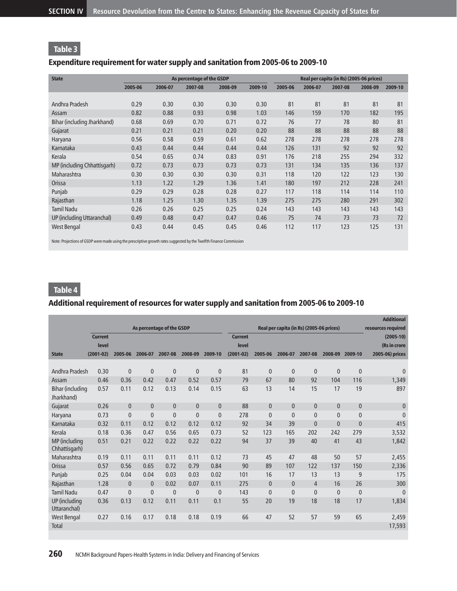# Expenditure requirement for water supply and sanitation from 2005-06 to 2009-10

| <b>State</b>                |         |         | As percentage of the GSDP |         |         | Real per capita (in Rs) (2005-06 prices) |         |         |         |         |  |
|-----------------------------|---------|---------|---------------------------|---------|---------|------------------------------------------|---------|---------|---------|---------|--|
|                             | 2005-06 | 2006-07 | 2007-08                   | 2008-09 | 2009-10 | 2005-06                                  | 2006-07 | 2007-08 | 2008-09 | 2009-10 |  |
|                             |         |         |                           |         |         |                                          |         |         |         |         |  |
| Andhra Pradesh              | 0.29    | 0.30    | 0.30                      | 0.30    | 0.30    | 81                                       | 81      | 81      | 81      | 81      |  |
| Assam                       | 0.82    | 0.88    | 0.93                      | 0.98    | 1.03    | 146                                      | 159     | 170     | 182     | 195     |  |
| Bihar (including Jharkhand) | 0.68    | 0.69    | 0.70                      | 0.71    | 0.72    | 76                                       | 77      | 78      | 80      | 81      |  |
| Gujarat                     | 0.21    | 0.21    | 0.21                      | 0.20    | 0.20    | 88                                       | 88      | 88      | 88      | 88      |  |
| Haryana                     | 0.56    | 0.58    | 0.59                      | 0.61    | 0.62    | 278                                      | 278     | 278     | 278     | 278     |  |
| Karnataka                   | 0.43    | 0.44    | 0.44                      | 0.44    | 0.44    | 126                                      | 131     | 92      | 92      | 92      |  |
| Kerala                      | 0.54    | 0.65    | 0.74                      | 0.83    | 0.91    | 176                                      | 218     | 255     | 294     | 332     |  |
| MP (including Chhattisgarh) | 0.72    | 0.73    | 0.73                      | 0.73    | 0.73    | 131                                      | 134     | 135     | 136     | 137     |  |
| Maharashtra                 | 0.30    | 0.30    | 0.30                      | 0.30    | 0.31    | 118                                      | 120     | 122     | 123     | 130     |  |
| Orissa                      | 1.13    | 1.22    | 1.29                      | 1.36    | 1.41    | 180                                      | 197     | 212     | 228     | 241     |  |
| Punjab                      | 0.29    | 0.29    | 0.28                      | 0.28    | 0.27    | 117                                      | 118     | 114     | 114     | 110     |  |
| Rajasthan                   | 1.18    | 1.25    | 1.30                      | 1.35    | 1.39    | 275                                      | 275     | 280     | 291     | 302     |  |
| <b>Tamil Nadu</b>           | 0.26    | 0.26    | 0.25                      | 0.25    | 0.24    | 143                                      | 143     | 143     | 143     | 143     |  |
| UP (including Uttaranchal)  | 0.49    | 0.48    | 0.47                      | 0.47    | 0.46    | 75                                       | 74      | 73      | 73      | 72      |  |
| <b>West Bengal</b>          | 0.43    | 0.44    | 0.45                      | 0.45    | 0.46    | 112                                      | 117     | 123     | 125     | 131     |  |

Note: Projections of GSDP were made using the prescriptive growth rates suggested by the Twelfth Finance Commission

# Table 4

# Additional requirement of resources for water supply and sanitation from 2005-06 to 2009-10

|                                |                |              |              |                           |              |              |                |              |                                          |              |              |              | <b>Additional</b>  |
|--------------------------------|----------------|--------------|--------------|---------------------------|--------------|--------------|----------------|--------------|------------------------------------------|--------------|--------------|--------------|--------------------|
|                                |                |              |              | As percentage of the GSDP |              |              |                |              | Real per capita (in Rs) (2005-06 prices) |              |              |              | resources required |
|                                | <b>Current</b> |              |              |                           |              |              | <b>Current</b> |              |                                          |              |              |              | $(2005-10)$        |
|                                | level          |              |              |                           |              |              | level          |              |                                          |              |              |              | (Rs in crore       |
| <b>State</b>                   | $(2001 - 02)$  | 2005-06      | 2006-07      | 2007-08                   | 2008-09      | 2009-10      | $(2001 - 02)$  | 2005-06      | 2006-07                                  | 2007-08      | 2008-09      | 2009-10      | 2005-06) prices    |
|                                |                |              |              |                           |              |              |                |              |                                          |              |              |              |                    |
| Andhra Pradesh                 | 0.30           | $\mathbf{0}$ | $\mathbf{0}$ | $\mathbf{0}$              | $\mathbf{0}$ | $\mathbf{0}$ | 81             | $\mathbf{0}$ | $\mathbf{0}$                             | $\mathbf{0}$ | $\mathbf{0}$ | $\mathbf{0}$ | $\mathbf{0}$       |
| Assam                          | 0.46           | 0.36         | 0.42         | 0.47                      | 0.52         | 0.57         | 79             | 67           | 80                                       | 92           | 104          | 116          | 1,349              |
| Bihar (including<br>Jharkhand) | 0.57           | 0.11         | 0.12         | 0.13                      | 0.14         | 0.15         | 63             | 13           | 14                                       | 15           | 17           | 19           | 897                |
| Gujarat                        | 0.26           | $\mathbf{0}$ | $\mathbf{0}$ | $\mathbf{0}$              | $\mathbf{0}$ | $\mathbf{0}$ | 88             | $\mathbf{0}$ | $\mathbf{0}$                             | $\mathbf{0}$ | $\mathbf{0}$ | $\mathbf{0}$ | $\mathbf{0}$       |
| Haryana                        | 0.73           | $\mathbf{0}$ | $\mathbf{0}$ | $\mathbf{0}$              | $\mathbf{0}$ | $\mathbf{0}$ | 278            | $\mathbf{0}$ | $\mathbf{0}$                             | $\mathbf{0}$ | $\mathbf{0}$ | $\mathbf{0}$ | $\mathbf{0}$       |
| Karnataka                      | 0.32           | 0.11         | 0.12         | 0.12                      | 0.12         | 0.12         | 92             | 34           | 39                                       | $\mathbf{0}$ | $\mathbf{0}$ | $\mathbf{0}$ | 415                |
| Kerala                         | 0.18           | 0.36         | 0.47         | 0.56                      | 0.65         | 0.73         | 52             | 123          | 165                                      | 202          | 242          | 279          | 3,532              |
| MP (including<br>Chhattisgarh) | 0.51           | 0.21         | 0.22         | 0.22                      | 0.22         | 0.22         | 94             | 37           | 39                                       | 40           | 41           | 43           | 1,842              |
| Maharashtra                    | 0.19           | 0.11         | 0.11         | 0.11                      | 0.11         | 0.12         | 73             | 45           | 47                                       | 48           | 50           | 57           | 2,455              |
| Orissa                         | 0.57           | 0.56         | 0.65         | 0.72                      | 0.79         | 0.84         | 90             | 89           | 107                                      | 122          | 137          | 150          | 2,336              |
| Punjab                         | 0.25           | 0.04         | 0.04         | 0.03                      | 0.03         | 0.02         | 101            | 16           | 17                                       | 13           | 13           | 9            | 175                |
| Rajasthan                      | 1.28           | $\mathbf{0}$ | $\mathbf{0}$ | 0.02                      | 0.07         | 0.11         | 275            | $\mathbf{0}$ | $\mathbf{0}$                             | 4            | 16           | 26           | 300                |
| <b>Tamil Nadu</b>              | 0.47           | $\mathbf{0}$ | $\mathbf{0}$ | $\mathbf{0}$              | $\mathbf{0}$ | $\mathbf{0}$ | 143            | $\mathbf{0}$ | $\mathbf 0$                              | $\mathbf{0}$ | $\mathbf{0}$ | $\mathbf{0}$ | $\mathbf{0}$       |
| UP (including<br>Uttaranchal)  | 0.36           | 0.13         | 0.12         | 0.11                      | 0.11         | 0.1          | 55             | 20           | 19                                       | 18           | 18           | 17           | 1,834              |
| <b>West Bengal</b>             | 0.27           | 0.16         | 0.17         | 0.18                      | 0.18         | 0.19         | 66             | 47           | 52                                       | 57           | 59           | 65           | 2,459              |
| <b>Total</b>                   |                |              |              |                           |              |              |                |              |                                          |              |              |              | 17,593             |
|                                |                |              |              |                           |              |              |                |              |                                          |              |              |              |                    |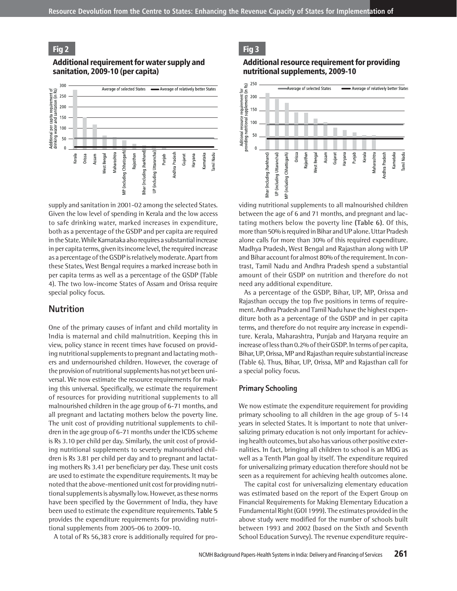#### Fig 2

#### Additional requirement for water supply and sanitation, 2009-10 (per capita)



supply and sanitation in 2001-02 among the selected States. Given the low level of spending in Kerala and the low access to safe drinking water, marked increases in expenditure, both as a percentage of the GSDP and per capita are required in the State. While Karnataka also requires a substantial increase in per capita terms, given its income level, the required increase as a percentage of the GSDP is relatively moderate. Apart from these States, West Bengal requires a marked increase both in per capita terms as well as a percentage of the GSDP (Table 4). The two low-income States of Assam and Orissa require special policy focus.

### **Nutrition**

One of the primary causes of infant and child mortality in India is maternal and child malnutrition. Keeping this in view, policy stance in recent times have focused on providing nutritional supplements to pregnant and lactating mothers and undernourished children. However, the coverage of the provision of nutritional supplements has not yet been universal. We now estimate the resource requirements for making this universal. Specifically, we estimate the requirement of resources for providing nutritional supplements to all malnourished children in the age group of 6-71 months, and all pregnant and lactating mothers below the poverty line. The unit cost of providing nutritional supplements to children in the age group of 6-71 months under the ICDS scheme is Rs 3.10 per child per day. Similarly, the unit cost of providing nutritional supplements to severely malnourished children is Rs 3.81 per child per day and to pregnant and lactating mothers Rs 3.41 per beneficiary per day. These unit costs are used to estimate the expenditure requirements. It may be noted that the above-mentioned unit cost for providing nutritional supplements is abysmally low. However, as these norms have been specified by the Government of India, they have been used to estimate the expenditure requirements. **Table 5** provides the expenditure requirements for providing nutritional supplements from 2005-06 to 2009-10.

A total of Rs 56,383 crore is additionally required for pro-

Fig 3

#### Additional resource requirement for providing nutritional supplements, 2009-10



viding nutritional supplements to all malnourished children between the age of 6 and 71 months, and pregnant and lactating mothers below the poverty line **(Table 6)**. Of this, more than 50% is required in Bihar and UP alone. Uttar Pradesh alone calls for more than 30% of this required expenditure. Madhya Pradesh, West Bengal and Rajasthan along with UP and Bihar account for almost 80% of the requirement. In contrast, Tamil Nadu and Andhra Pradesh spend a substantial amount of their GSDP on nutrition and therefore do not need any additional expenditure.

As a percentage of the GSDP, Bihar, UP, MP, Orissa and Rajasthan occupy the top five positions in terms of requirement. Andhra Pradesh and Tamil Nadu have the highest expenditure both as a percentage of the GSDP and in per capita terms, and therefore do not require any increase in expenditure. Kerala, Maharashtra, Punjab and Haryana require an increase of less than 0.2% of their GSDP. In terms of per capita, Bihar, UP, Orissa, MP and Rajasthan require substantial increase (Table 6). Thus, Bihar, UP, Orissa, MP and Rajasthan call for a special policy focus.

#### **Primary Schooling**

We now estimate the expenditure requirement for providing primary schooling to all children in the age group of 5-14 years in selected States. It is important to note that universalizing primary education is not only important for achieving health outcomes, but also has various other positive externalities. In fact, bringing all children to school is an MDG as well as a Tenth Plan goal by itself. The expenditure required for universalizing primary education therefore should not be seen as a requirement for achieving health outcomes alone.

The capital cost for universalizing elementary education was estimated based on the report of the Expert Group on Financial Requirements for Making Elementary Education a Fundamental Right (GOI 1999). The estimates provided in the above study were modified for the number of schools built between 1993 and 2002 (based on the Sixth and Seventh School Education Survey). The revenue expenditure require-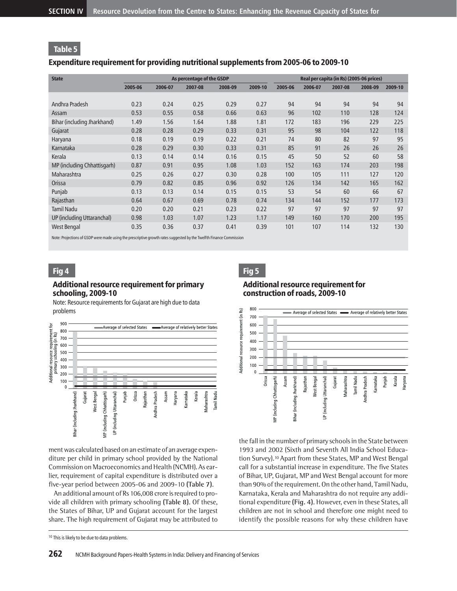### Expenditure requirement for providing nutritional supplements from 2005-06 to 2009-10

| <b>State</b>                |         |         | As percentage of the GSDP |         |         | Real per capita (in Rs) (2005-06 prices) |         |         |         |         |  |
|-----------------------------|---------|---------|---------------------------|---------|---------|------------------------------------------|---------|---------|---------|---------|--|
|                             | 2005-06 | 2006-07 | 2007-08                   | 2008-09 | 2009-10 | 2005-06                                  | 2006-07 | 2007-08 | 2008-09 | 2009-10 |  |
|                             |         |         |                           |         |         |                                          |         |         |         |         |  |
| Andhra Pradesh              | 0.23    | 0.24    | 0.25                      | 0.29    | 0.27    | 94                                       | 94      | 94      | 94      | 94      |  |
| Assam                       | 0.53    | 0.55    | 0.58                      | 0.66    | 0.63    | 96                                       | 102     | 110     | 128     | 124     |  |
| Bihar (including Jharkhand) | 1.49    | 1.56    | 1.64                      | 1.88    | 1.81    | 172                                      | 183     | 196     | 229     | 225     |  |
| Gujarat                     | 0.28    | 0.28    | 0.29                      | 0.33    | 0.31    | 95                                       | 98      | 104     | 122     | 118     |  |
| Haryana                     | 0.18    | 0.19    | 0.19                      | 0.22    | 0.21    | 74                                       | 80      | 82      | 97      | 95      |  |
| Karnataka                   | 0.28    | 0.29    | 0.30                      | 0.33    | 0.31    | 85                                       | 91      | 26      | 26      | 26      |  |
| Kerala                      | 0.13    | 0.14    | 0.14                      | 0.16    | 0.15    | 45                                       | 50      | 52      | 60      | 58      |  |
| MP (including Chhattisgarh) | 0.87    | 0.91    | 0.95                      | 1.08    | 1.03    | 152                                      | 163     | 174     | 203     | 198     |  |
| Maharashtra                 | 0.25    | 0.26    | 0.27                      | 0.30    | 0.28    | 100                                      | 105     | 111     | 127     | 120     |  |
| Orissa                      | 0.79    | 0.82    | 0.85                      | 0.96    | 0.92    | 126                                      | 134     | 142     | 165     | 162     |  |
| Punjab                      | 0.13    | 0.13    | 0.14                      | 0.15    | 0.15    | 53                                       | 54      | 60      | 66      | 67      |  |
| Rajasthan                   | 0.64    | 0.67    | 0.69                      | 0.78    | 0.74    | 134                                      | 144     | 152     | 177     | 173     |  |
| <b>Tamil Nadu</b>           | 0.20    | 0.20    | 0.21                      | 0.23    | 0.22    | 97                                       | 97      | 97      | 97      | 97      |  |
| UP (including Uttaranchal)  | 0.98    | 1.03    | 1.07                      | 1.23    | 1.17    | 149                                      | 160     | 170     | 200     | 195     |  |
| West Bengal                 | 0.35    | 0.36    | 0.37                      | 0.41    | 0.39    | 101                                      | 107     | 114     | 132     | 130     |  |

Note: Projections of GSDP were made using the prescriptive growth rates suggested by the Twelfth Finance Commission

# Fig 4

### Additional resource requirement for primary schooling, 2009-10

Note: Resource requirements for Gujarat are high due to data problems



ment was calculated based on an estimate of an average expenditure per child in primary school provided by the National Commission on Macroeconomics and Health (NCMH). As earlier, requirement of capital expenditure is distributed over a five-year period between 2005-06 and 2009-10 **(Table 7)**.

An additional amount of Rs 106,008 crore is required to provide all children with primary schooling **(Table 8)**. Of these, the States of Bihar, UP and Gujarat account for the largest share. The high requirement of Gujarat may be attributed to

# Fig 5

## Additional resource requirement for construction of roads, 2009-10



the fall in the number of primary schools in the State between 1993 and 2002 (Sixth and Seventh All India School Education Survey).<sup>10</sup> Apart from these States, MP and West Bengal call for a substantial increase in expenditure. The five States of Bihar, UP, Gujarat, MP and West Bengal account for more than 90% of the requirement. On the other hand, Tamil Nadu, Karnataka, Kerala and Maharashtra do not require any additional expenditure **(Fig. 4)**. However, even in these States, all children are not in school and therefore one might need to identify the possible reasons for why these children have

<sup>&</sup>lt;sup>10</sup> This is likely to be due to data problems.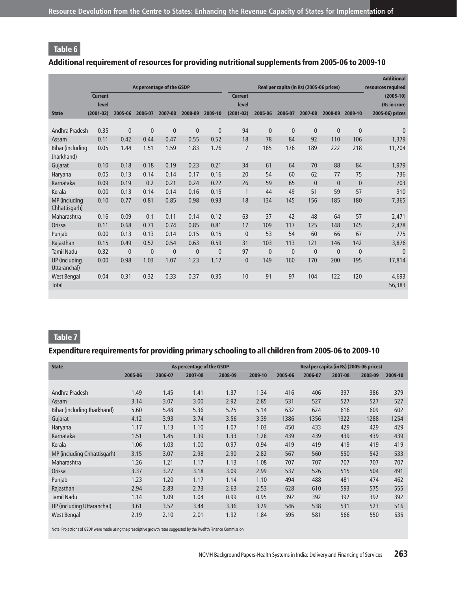# Additional requirement of resources for providing nutritional supplements from 2005-06 to 2009-10

|                                |                |              |              |                           |              |              |                |              |                                          |              |              |              | <b>Additional</b>  |
|--------------------------------|----------------|--------------|--------------|---------------------------|--------------|--------------|----------------|--------------|------------------------------------------|--------------|--------------|--------------|--------------------|
|                                |                |              |              | As percentage of the GSDP |              |              |                |              | Real per capita (in Rs) (2005-06 prices) |              |              |              | resources required |
|                                | <b>Current</b> |              |              |                           |              |              | <b>Current</b> |              |                                          |              |              |              | $(2005-10)$        |
|                                | level          |              |              |                           |              |              | level          |              |                                          |              |              |              | (Rs in crore       |
| <b>State</b>                   | $(2001 - 02)$  | 2005-06      | 2006-07      | 2007-08                   | 2008-09      | 2009-10      | $(2001-02)$    | 2005-06      | 2006-07                                  | 2007-08      | 2008-09      | 2009-10      | 2005-06) prices    |
|                                |                |              |              |                           |              |              |                |              |                                          |              |              |              |                    |
| Andhra Pradesh                 | 0.35           | $\mathbf{0}$ | $\mathbf{0}$ | $\mathbf{0}$              | $\mathbf{0}$ | $\mathbf{0}$ | 94             | $\mathbf{0}$ | $\mathbf{0}$                             | $\mathbf{0}$ | $\mathbf{0}$ | $\mathbf{0}$ | $\mathbf{0}$       |
| Assam                          | 0.11           | 0.42         | 0.44         | 0.47                      | 0.55         | 0.52         | 18             | 78           | 84                                       | 92           | 110          | 106          | 1,379              |
| Bihar (including<br>Jharkhand) | 0.05           | 1.44         | 1.51         | 1.59                      | 1.83         | 1.76         | $\overline{7}$ | 165          | 176                                      | 189          | 222          | 218          | 11,204             |
| Gujarat                        | 0.10           | 0.18         | 0.18         | 0.19                      | 0.23         | 0.21         | 34             | 61           | 64                                       | 70           | 88           | 84           | 1,979              |
| Haryana                        | 0.05           | 0.13         | 0.14         | 0.14                      | 0.17         | 0.16         | 20             | 54           | 60                                       | 62           | 77           | 75           | 736                |
| Karnataka                      | 0.09           | 0.19         | 0.2          | 0.21                      | 0.24         | 0.22         | 26             | 59           | 65                                       | $\mathbf{0}$ | $\mathbf{0}$ | $\mathbf{0}$ | 703                |
| Kerala                         | 0.00           | 0.13         | 0.14         | 0.14                      | 0.16         | 0.15         | $\mathbf{1}$   | 44           | 49                                       | 51           | 59           | 57           | 910                |
| MP (including<br>Chhattisgarh) | 0.10           | 0.77         | 0.81         | 0.85                      | 0.98         | 0.93         | 18             | 134          | 145                                      | 156          | 185          | 180          | 7,365              |
| Maharashtra                    | 0.16           | 0.09         | 0.1          | 0.11                      | 0.14         | 0.12         | 63             | 37           | 42                                       | 48           | 64           | 57           | 2,471              |
| Orissa                         | 0.11           | 0.68         | 0.71         | 0.74                      | 0.85         | 0.81         | 17             | 109          | 117                                      | 125          | 148          | 145          | 2,478              |
| Punjab                         | 0.00           | 0.13         | 0.13         | 0.14                      | 0.15         | 0.15         | $\mathbf{0}$   | 53           | 54                                       | 60           | 66           | 67           | 775                |
| Rajasthan                      | 0.15           | 0.49         | 0.52         | 0.54                      | 0.63         | 0.59         | 31             | 103          | 113                                      | 121          | 146          | 142          | 3,876              |
| <b>Tamil Nadu</b>              | 0.32           | $\mathbf{0}$ | $\mathbf{0}$ | $\mathbf{0}$              | $\mathbf{0}$ | $\mathbf{0}$ | 97             | $\mathbf{0}$ | $\mathbf{0}$                             | $\mathbf{0}$ | $\mathbf{0}$ | $\mathbf{0}$ | $\Omega$           |
| UP (including<br>Uttaranchal)  | 0.00           | 0.98         | 1.03         | 1.07                      | 1.23         | 1.17         | $\mathbf{0}$   | 149          | 160                                      | 170          | 200          | 195          | 17,814             |
| <b>West Bengal</b>             | 0.04           | 0.31         | 0.32         | 0.33                      | 0.37         | 0.35         | 10             | 91           | 97                                       | 104          | 122          | 120          | 4,693              |
| <b>Total</b>                   |                |              |              |                           |              |              |                |              |                                          |              |              |              | 56,383             |

# Table 7

# Expenditure requirements for providing primary schooling to all children from 2005-06 to 2009-10

| <b>State</b>                |         |         | As percentage of the GSDP |         |         |         |         | Real per capita (in Rs) (2005-06 prices) |         |         |
|-----------------------------|---------|---------|---------------------------|---------|---------|---------|---------|------------------------------------------|---------|---------|
|                             | 2005-06 | 2006-07 | 2007-08                   | 2008-09 | 2009-10 | 2005-06 | 2006-07 | 2007-08                                  | 2008-09 | 2009-10 |
|                             |         |         |                           |         |         |         |         |                                          |         |         |
| Andhra Pradesh              | 1.49    | 1.45    | 1.41                      | 1.37    | 1.34    | 416     | 406     | 397                                      | 386     | 379     |
| Assam                       | 3.14    | 3.07    | 3.00                      | 2.92    | 2.85    | 531     | 527     | 527                                      | 527     | 527     |
| Bihar (including Jharkhand) | 5.60    | 5.48    | 5.36                      | 5.25    | 5.14    | 632     | 624     | 616                                      | 609     | 602     |
| Gujarat                     | 4.12    | 3.93    | 3.74                      | 3.56    | 3.39    | 1386    | 1356    | 1322                                     | 1288    | 1254    |
| Haryana                     | 1.17    | 1.13    | 1.10                      | 1.07    | 1.03    | 450     | 433     | 429                                      | 429     | 429     |
| Karnataka                   | 1.51    | 1.45    | 1.39                      | 1.33    | 1.28    | 439     | 439     | 439                                      | 439     | 439     |
| Kerala                      | 1.06    | 1.03    | 1.00                      | 0.97    | 0.94    | 419     | 419     | 419                                      | 419     | 419     |
| MP (including Chhattisgarh) | 3.15    | 3.07    | 2.98                      | 2.90    | 2.82    | 567     | 560     | 550                                      | 542     | 533     |
| Maharashtra                 | 1.26    | 1.21    | 1.17                      | 1.13    | 1.08    | 707     | 707     | 707                                      | 707     | 707     |
| Orissa                      | 3.37    | 3.27    | 3.18                      | 3.09    | 2.99    | 537     | 526     | 515                                      | 504     | 491     |
| Punjab                      | 1.23    | 1.20    | 1.17                      | 1.14    | 1.10    | 494     | 488     | 481                                      | 474     | 462     |
| Rajasthan                   | 2.94    | 2.83    | 2.73                      | 2.63    | 2.53    | 628     | 610     | 593                                      | 575     | 555     |
| <b>Tamil Nadu</b>           | 1.14    | 1.09    | 1.04                      | 0.99    | 0.95    | 392     | 392     | 392                                      | 392     | 392     |
| UP (including Uttaranchal)  | 3.61    | 3.52    | 3.44                      | 3.36    | 3.29    | 546     | 538     | 531                                      | 523     | 516     |
| <b>West Bengal</b>          | 2.19    | 2.10    | 2.01                      | 1.92    | 1.84    | 595     | 581     | 566                                      | 550     | 535     |

Note: Projections of GSDP were made using the prescriptive growth rates suggested by the Twelfth Finance Commission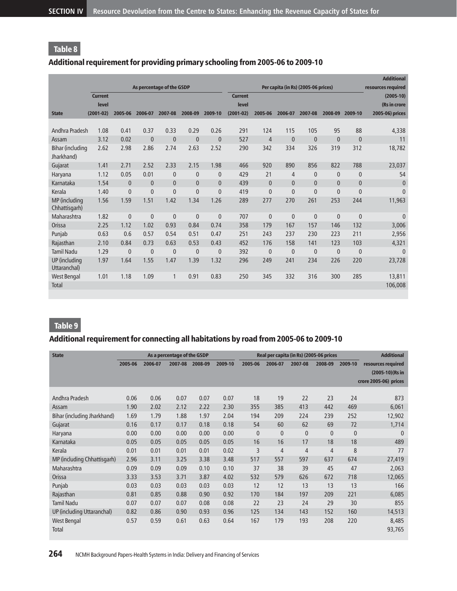# Additional requirement for providing primary schooling from 2005-06 to 2009-10

|                                |                |              |              |                           |              |                |                |                |                                     |              |              |              | <b>Additional</b>  |
|--------------------------------|----------------|--------------|--------------|---------------------------|--------------|----------------|----------------|----------------|-------------------------------------|--------------|--------------|--------------|--------------------|
|                                |                |              |              | As percentage of the GSDP |              |                |                |                | Per capita (in Rs) (2005-06 prices) |              |              |              | resources required |
|                                | <b>Current</b> |              |              |                           |              |                | <b>Current</b> |                |                                     |              |              |              | $(2005-10)$        |
|                                | level          |              |              |                           |              |                | level          |                |                                     |              |              |              | (Rs in crore       |
| <b>State</b>                   | $(2001 - 02)$  | 2005-06      | 2006-07      | 2007-08                   | 2008-09      | 2009-10        | $(2001-02)$    | 2005-06        | 2006-07                             | 2007-08      | 2008-09      | 2009-10      | 2005-06) prices    |
|                                |                |              |              |                           |              |                |                |                |                                     |              |              |              |                    |
| Andhra Pradesh                 | 1.08           | 0.41         | 0.37         | 0.33                      | 0.29         | 0.26           | 291            | 124            | 115                                 | 105          | 95           | 88           | 4,338              |
| Assam                          | 3.12           | 0.02         | $\mathbf{0}$ | $\mathbf{0}$              | $\mathbf{0}$ | $\mathbf{0}$   | 527            | $\overline{4}$ | $\mathbf{0}$                        | $\mathbf{0}$ | $\mathbf{0}$ | $\mathbf{0}$ | 11                 |
| Bihar (including<br>Jharkhand) | 2.62           | 2.98         | 2.86         | 2.74                      | 2.63         | 2.52           | 290            | 342            | 334                                 | 326          | 319          | 312          | 18,782             |
| Gujarat                        | 1.41           | 2.71         | 2.52         | 2.33                      | 2.15         | 1.98           | 466            | 920            | 890                                 | 856          | 822          | 788          | 23,037             |
| Haryana                        | 1.12           | 0.05         | 0.01         | $\mathbf{0}$              | $\mathbf{0}$ | $\mathbf{0}$   | 429            | 21             | $\overline{4}$                      | $\mathbf{0}$ | $\mathbf{0}$ | 0            | 54                 |
| Karnataka                      | 1.54           | $\mathbf{0}$ | $\mathbf{0}$ | $\mathbf{0}$              | $\mathbf{0}$ | $\mathbf{0}$   | 439            | $\mathbf{0}$   | $\mathbf{0}$                        | $\mathbf{0}$ | $\mathbf{0}$ | $\mathbf{0}$ | $\mathbf 0$        |
| Kerala                         | 1.40           | $\mathbf{0}$ | $\mathbf{0}$ | $\overline{0}$            | $\mathbf{0}$ | $\overline{0}$ | 419            | $\mathbf{0}$   | $\mathbf{0}$                        | $\mathbf{0}$ | $\mathbf{0}$ | $\mathbf{0}$ | $\mathbf{0}$       |
| MP (including<br>Chhattisgarh) | 1.56           | 1.59         | 1.51         | 1.42                      | 1.34         | 1.26           | 289            | 277            | 270                                 | 261          | 253          | 244          | 11,963             |
| Maharashtra                    | 1.82           | $\mathbf{0}$ | $\mathbf{0}$ | $\mathbf{0}$              | $\mathbf{0}$ | $\mathbf{0}$   | 707            | $\mathbf{0}$   | $\mathbf{0}$                        | $\mathbf{0}$ | $\mathbf{0}$ | $\mathbf{0}$ | $\mathbf{0}$       |
| Orissa                         | 2.25           | 1.12         | 1.02         | 0.93                      | 0.84         | 0.74           | 358            | 179            | 167                                 | 157          | 146          | 132          | 3,006              |
| Punjab                         | 0.63           | 0.6          | 0.57         | 0.54                      | 0.51         | 0.47           | 251            | 243            | 237                                 | 230          | 223          | 211          | 2,956              |
| Rajasthan                      | 2.10           | 0.84         | 0.73         | 0.63                      | 0.53         | 0.43           | 452            | 176            | 158                                 | 141          | 123          | 103          | 4,321              |
| <b>Tamil Nadu</b>              | 1.29           | $\mathbf{0}$ | $\mathbf{0}$ | $\mathbf{0}$              | $\mathbf{0}$ | $\mathbf{0}$   | 392            | $\mathbf{0}$   | $\mathbf 0$                         | $\mathbf{0}$ | $\mathbf{0}$ | $\mathbf{0}$ | $\Omega$           |
| UP (including<br>Uttaranchal)  | 1.97           | 1.64         | 1.55         | 1.47                      | 1.39         | 1.32           | 296            | 249            | 241                                 | 234          | 226          | 220          | 23,728             |
| <b>West Bengal</b>             | 1.01           | 1.18         | 1.09         | 1                         | 0.91         | 0.83           | 250            | 345            | 332                                 | 316          | 300          | 285          | 13,811             |
| <b>Total</b>                   |                |              |              |                           |              |                |                |                |                                     |              |              |              | 106,008            |

# Table 9

# Additional requirement for connecting all habitations by road from 2005-06 to 2009-10

| <b>State</b>                |         |         | As a percentage of the GSDP |         |         |              | Real per capita (in Rs) (2005-06 prices |                | <b>Additional</b> |              |                                                                |
|-----------------------------|---------|---------|-----------------------------|---------|---------|--------------|-----------------------------------------|----------------|-------------------|--------------|----------------------------------------------------------------|
|                             | 2005-06 | 2006-07 | 2007-08                     | 2008-09 | 2009-10 | 2005-06      | 2006-07                                 | 2007-08        | 2008-09           | 2009-10      | resources required<br>(2005-10)(Rs in<br>crore 2005-06) prices |
| Andhra Pradesh              | 0.06    | 0.06    | 0.07                        | 0.07    | 0.07    | 18           | 19                                      | 22             | 23                | 24           | 873                                                            |
| Assam                       | 1.90    | 2.02    | 2.12                        | 2.22    | 2.30    | 355          | 385                                     | 413            | 442               | 469          | 6,061                                                          |
| Bihar (including Jharkhand) | 1.69    | 1.79    | 1.88                        | 1.97    | 2.04    | 194          | 209                                     | 224            | 239               | 252          | 12,902                                                         |
| Gujarat                     | 0.16    | 0.17    | 0.17                        | 0.18    | 0.18    | 54           | 60                                      | 62             | 69                | 72           | 1,714                                                          |
| Haryana                     | 0.00    | 0.00    | 0.00                        | 0.00    | 0.00    | $\mathbf{0}$ | $\mathbf{0}$                            | $\mathbf{0}$   | $\mathbf{0}$      | $\mathbf{0}$ | $\mathbf{0}$                                                   |
| Karnataka                   | 0.05    | 0.05    | 0.05                        | 0.05    | 0.05    | 16           | 16                                      | 17             | 18                | 18           | 489                                                            |
| Kerala                      | 0.01    | 0.01    | 0.01                        | 0.01    | 0.02    | 3            | $\overline{4}$                          | $\overline{4}$ | 4                 | 8            | 77                                                             |
| MP (including Chhattisgarh) | 2.96    | 3.11    | 3.25                        | 3.38    | 3.48    | 517          | 557                                     | 597            | 637               | 674          | 27,419                                                         |
| Maharashtra                 | 0.09    | 0.09    | 0.09                        | 0.10    | 0.10    | 37           | 38                                      | 39             | 45                | 47           | 2,063                                                          |
| Orissa                      | 3.33    | 3.53    | 3.71                        | 3.87    | 4.02    | 532          | 579                                     | 626            | 672               | 718          | 12,065                                                         |
| Punjab                      | 0.03    | 0.03    | 0.03                        | 0.03    | 0.03    | 12           | 12                                      | 13             | 13                | 13           | 166                                                            |
| Rajasthan                   | 0.81    | 0.85    | 0.88                        | 0.90    | 0.92    | 170          | 184                                     | 197            | 209               | 221          | 6,085                                                          |
| <b>Tamil Nadu</b>           | 0.07    | 0.07    | 0.07                        | 0.08    | 0.08    | 22           | 23                                      | 24             | 29                | 30           | 855                                                            |
| UP (including Uttaranchal)  | 0.82    | 0.86    | 0.90                        | 0.93    | 0.96    | 125          | 134                                     | 143            | 152               | 160          | 14,513                                                         |
| West Bengal<br>Total        | 0.57    | 0.59    | 0.61                        | 0.63    | 0.64    | 167          | 179                                     | 193            | 208               | 220          | 8,485<br>93,765                                                |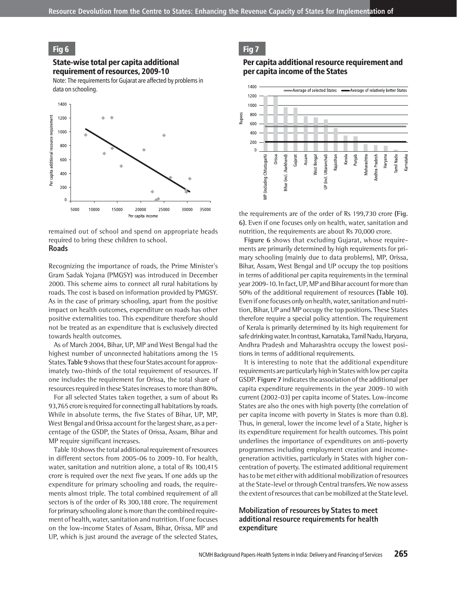### Fig 6

State-wise total per capita additional requirement of resources, 2009-10

Note: The requirements for Gujarat are affected by problems in data on schooling.



remained out of school and spend on appropriate heads required to bring these children to school. **Roads**

Recognizing the importance of roads, the Prime Minister's Gram Sadak Yojana (PMGSY) was introduced in December 2000. This scheme aims to connect all rural habitations by roads. The cost is based on information provided by PMGSY. As in the case of primary schooling, apart from the positive impact on health outcomes, expenditure on roads has other positive externalities too. This expenditure therefore should not be treated as an expenditure that is exclusively directed towards health outcomes.

As of March 2004, Bihar, UP, MP and West Bengal had the highest number of unconnected habitations among the 15 States. **Table 9**shows that these four States account for approximately two-thirds of the total requirement of resources. If one includes the requirement for Orissa, the total share of resources required in these States increases to more than 80%.

For all selected States taken together, a sum of about Rs 93,765 crore is required for connecting all habitations by roads. While in absolute terms, the five States of Bihar, UP, MP, West Bengal and Orissa account for the largest share, as a percentage of the GSDP, the States of Orissa, Assam, Bihar and MP require significant increases.

Table 10 shows the total additional requirement of resources in different sectors from 2005-06 to 2009-10. For health, water, sanitation and nutrition alone, a total of Rs 100,415 crore is required over the next five years. If one adds up the expenditure for primary schooling and roads, the requirements almost triple. The total combined requirement of all sectors is of the order of Rs 300,188 crore. The requirement for primary schooling alone is more than the combined requirement of health, water, sanitation and nutrition. If one focuses on the low-income States of Assam, Bihar, Orissa, MP and UP, which is just around the average of the selected States,

### Fig 7

#### Per capita additional resource requirement and per capita income of the States



the requirements are of the order of Rs 199,730 crore **(Fig. 6)**. Even if one focuses only on health, water, sanitation and nutrition, the requirements are about Rs 70,000 crore.

**Figure 6** shows that excluding Gujarat, whose requirements are primarily determined by high requirements for primary schooling (mainly due to data problems), MP, Orissa, Bihar, Assam, West Bengal and UP occupy the top positions in terms of additional per capita requirements in the terminal year 2009-10. In fact, UP, MP and Bihar account for more than 50% of the additional requirement of resources **(Table 10)**. Even if one focuses only on health, water, sanitation and nutrition, Bihar, UP and MP occupy the top positions. These States therefore require a special policy attention. The requirement of Kerala is primarily determined by its high requirement for safe drinking water. In contrast, Karnataka, Tamil Nadu, Haryana, Andhra Pradesh and Maharashtra occupy the lowest positions in terms of additional requirements.

It is interesting to note that the additional expenditure requirements are particularly high in States with low per capita GSDP. **Figure 7** indicates the association of the additional per capita expenditure requirements in the year 2009-10 with current (2002-03) per capita income of States. Low-income States are also the ones with high poverty (the correlation of per capita income with poverty in States is more than 0.8). Thus, in general, lower the income level of a State, higher is its expenditure requirement for health outcomes. This point underlines the importance of expenditures on anti-poverty programmes including employment creation and incomegeneration activities, particularly in States with higher concentration of poverty. The estimated additional requirement has to be met either with additional mobilization of resources at the State-level or through Central transfers. We now assess the extent of resources that can be mobilized at the State level.

### **Mobilization of resources by States to meet additional resource requirements for health expenditure**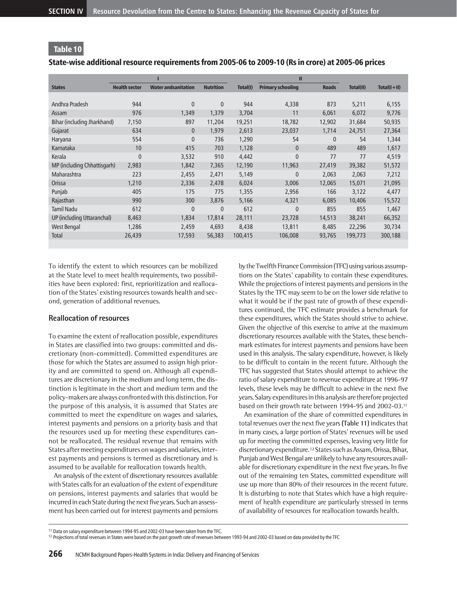# State-wise additional resource requirements from 2005-06 to 2009-10 (Rs in crore) at 2005-06 prices

|                             |                      |                             |                  |          | П                        |              |           |                 |
|-----------------------------|----------------------|-----------------------------|------------------|----------|--------------------------|--------------|-----------|-----------------|
| <b>States</b>               | <b>Health sector</b> | <b>Water and sanitation</b> | <b>Nutrition</b> | Total(I) | <b>Primary schooling</b> | <b>Roads</b> | Total(II) | $Total(I + II)$ |
|                             |                      |                             |                  |          |                          |              |           |                 |
| Andhra Pradesh              | 944                  | 0                           | $\mathbf{0}$     | 944      | 4,338                    | 873          | 5,211     | 6,155           |
| Assam                       | 976                  | 1,349                       | 1,379            | 3,704    | 11                       | 6,061        | 6,072     | 9,776           |
| Bihar (including Jharkhand) | 7.150                | 897                         | 11,204           | 19,251   | 18,782                   | 12,902       | 31,684    | 50,935          |
| Gujarat                     | 634                  | $\overline{0}$              | 1,979            | 2,613    | 23,037                   | 1,714        | 24,751    | 27,364          |
| Haryana                     | 554                  | 0                           | 736              | 1,290    | 54                       | $\mathbf{0}$ | 54        | 1,344           |
| Karnataka                   | 10                   | 415                         | 703              | 1,128    | $\mathbf{0}$             | 489          | 489       | 1,617           |
| Kerala                      | $\overline{0}$       | 3,532                       | 910              | 4,442    | $\mathbf{0}$             | 77           | 77        | 4,519           |
| MP (including Chhattisgarh) | 2,983                | 1,842                       | 7,365            | 12,190   | 11,963                   | 27,419       | 39,382    | 51,572          |
| Maharashtra                 | 223                  | 2,455                       | 2,471            | 5,149    | $\mathbf{0}$             | 2,063        | 2,063     | 7,212           |
| Orissa                      | 1,210                | 2,336                       | 2,478            | 6,024    | 3,006                    | 12,065       | 15,071    | 21,095          |
| Punjab                      | 405                  | 175                         | 775              | 1,355    | 2,956                    | 166          | 3,122     | 4,477           |
| Rajasthan                   | 990                  | 300                         | 3,876            | 5,166    | 4,321                    | 6,085        | 10,406    | 15,572          |
| <b>Tamil Nadu</b>           | 612                  | 0                           | $\mathbf{0}$     | 612      | $\mathbf{0}$             | 855          | 855       | 1,467           |
| UP (including Uttaranchal)  | 8,463                | 1,834                       | 17,814           | 28,111   | 23,728                   | 14,513       | 38,241    | 66,352          |
| West Bengal                 | 1,286                | 2,459                       | 4,693            | 8,438    | 13,811                   | 8,485        | 22,296    | 30,734          |
| Total                       | 26,439               | 17,593                      | 56,383           | 100,415  | 106,008                  | 93,765       | 199,773   | 300,188         |
|                             |                      |                             |                  |          |                          |              |           |                 |

To identify the extent to which resources can be mobilized at the State level to meet health requirements, two possibilities have been explored: first, reprioritization and reallocation of the States' existing resources towards health and second, generation of additional revenues.

### **Reallocation of resources**

To examine the extent of reallocation possible, expenditures in States are classified into two groups: committed and discretionary (non-committed). Committed expenditures are those for which the States are assumed to assign high priority and are committed to spend on. Although all expenditures are discretionary in the medium and long term, the distinction is legitimate in the short and medium term and the policy-makers are always confronted with this distinction. For the purpose of this analysis, it is assumed that States are committed to meet the expenditure on wages and salaries, interest payments and pensions on a priority basis and that the resources used up for meeting these expenditures cannot be reallocated. The residual revenue that remains with States after meeting expenditures on wages and salaries, interest payments and pensions is termed as discretionary and is assumed to be available for reallocation towards health.

An analysis of the extent of discretionary resources available with States calls for an evaluation of the extent of expenditure on pensions, interest payments and salaries that would be incurred in each State during the next five years. Such an assessment has been carried out for interest payments and pensions

by the Twelfth Finance Commission (TFC) using various assumptions on the States' capability to contain these expenditures. While the projections of interest payments and pensions in the States by the TFC may seem to be on the lower side relative to what it would be if the past rate of growth of these expenditures continued, the TFC estimate provides a benchmark for these expenditures, which the States should strive to achieve. Given the objective of this exercise to arrive at the maximum discretionary resources available with the States, these benchmark estimates for interest payments and pensions have been used in this analysis. The salary expenditure, however, is likely to be difficult to contain in the recent future. Although the TFC has suggested that States should attempt to achieve the ratio of salary expenditure to revenue expenditure at 1996-97 levels, these levels may be difficult to achieve in the next five years. Salary expenditures in this analysis are therefore projected based on their growth rate between 1994-95 and 2002-03.<sup>11</sup>

An examination of the share of committed expenditures in total revenues over the next five years **(Table 11)** indicates that in many cases, a large portion of States' revenues will be used up for meeting the committed expenses, leaving very little for discretionary expenditure.<sup>12</sup> States such as Assam, Orissa, Bihar, Punjab and West Bengal are unlikely to have any resources available for discretionary expenditure in the next five years. In five out of the remaining ten States, committed expenditure will use up more than 80% of their resources in the recent future. It is disturbing to note that States which have a high requirement of health expenditure are particularly stressed in terms of availability of resources for reallocation towards health.

<sup>11</sup> Data on salary expenditure between 1994-95 and 2002-03 have been taken from the TFC.

<sup>&</sup>lt;sup>12</sup> Projections of total revenues in States were based on the past growth rate of revenues between 1993-94 and 2002-03 based on data provided by the TFC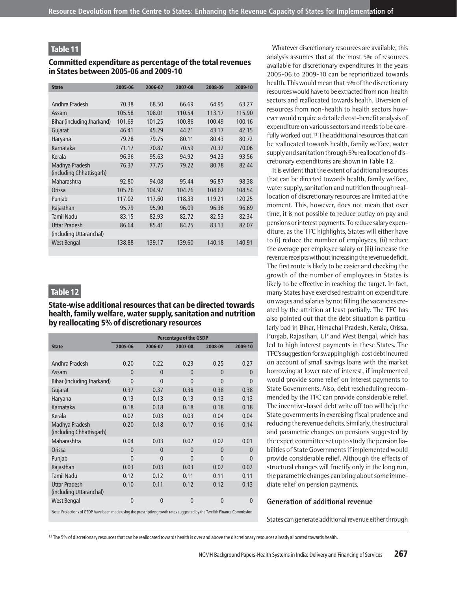#### Committed expenditure as percentage of the total revenues in States between 2005-06 and 2009-10

| <b>State</b>                               | 2005-06 | 2006-07 | 2007-08 | 2008-09 | 2009-10 |
|--------------------------------------------|---------|---------|---------|---------|---------|
|                                            |         |         |         |         |         |
| Andhra Pradesh                             | 70.38   | 68.50   | 66.69   | 64.95   | 63.27   |
| Assam                                      | 105.58  | 108.01  | 110.54  | 113.17  | 115.90  |
| Bihar (including Jharkand)                 | 101.69  | 101.25  | 100.86  | 100.49  | 100.16  |
| Gujarat                                    | 46.41   | 45.29   | 44.21   | 43.17   | 42.15   |
| Haryana                                    | 79.28   | 79.75   | 80.11   | 80.43   | 80.72   |
| Karnataka                                  | 71.17   | 70.87   | 70.59   | 70.32   | 70.06   |
| Kerala                                     | 96.36   | 95.63   | 94.92   | 94.23   | 93.56   |
| Madhya Pradesh<br>(including Chhattisgarh) | 76.37   | 77.75   | 79.22   | 80.78   | 82.44   |
| Maharashtra                                | 92.80   | 94.08   | 95.44   | 96.87   | 98.38   |
| Orissa                                     | 105.26  | 104.97  | 104.76  | 104.62  | 104.54  |
| Punjab                                     | 117.02  | 117.60  | 118.33  | 119.21  | 120.25  |
| Rajasthan                                  | 95.79   | 95.90   | 96.09   | 96.36   | 96.69   |
| <b>Tamil Nadu</b>                          | 83.15   | 82.93   | 82.72   | 82.53   | 82.34   |
| <b>Uttar Pradesh</b>                       | 86.64   | 85.41   | 84.25   | 83.13   | 82.07   |
| (including Uttaranchal)                    |         |         |         |         |         |
| West Bengal                                | 138.88  | 139.17  | 139.60  | 140.18  | 140.91  |

# Table 12

## State-wise additional resources that can be directed towards health, family welfare, water supply, sanitation and nutrition by reallocating 5% of discretionary resources

|                                                                                                                          | <b>Percentage of the GSDP</b> |              |                |              |                |  |  |  |  |  |
|--------------------------------------------------------------------------------------------------------------------------|-------------------------------|--------------|----------------|--------------|----------------|--|--|--|--|--|
| <b>State</b>                                                                                                             | 2005-06                       | 2006-07      | 2007-08        | 2008-09      | 2009-10        |  |  |  |  |  |
|                                                                                                                          |                               |              |                |              |                |  |  |  |  |  |
| Andhra Pradesh                                                                                                           | 0.20                          | 0.22         | 0.23           | 0.25         | 0.27           |  |  |  |  |  |
| Assam                                                                                                                    | $\Omega$                      | $\mathbf{0}$ | $\mathbf{0}$   | $\mathbf{0}$ | $\mathbf{0}$   |  |  |  |  |  |
| Bihar (including Jharkand)                                                                                               | $\Omega$                      | $\mathbf{0}$ | $\Omega$       | $\Omega$     | $\overline{0}$ |  |  |  |  |  |
| Gujarat                                                                                                                  | 0.37                          | 0.37         | 0.38           | 0.38         | 0.38           |  |  |  |  |  |
| Haryana                                                                                                                  | 0.13                          | 0.13         | 0.13           | 0.13         | 0.13           |  |  |  |  |  |
| Karnataka                                                                                                                | 0.18                          | 0.18         | 0.18           | 0.18         | 0.18           |  |  |  |  |  |
| Kerala                                                                                                                   | 0.02                          | 0.03         | 0.03           | 0.04         | 0.04           |  |  |  |  |  |
| Madhya Pradesh<br>(including Chhattisgarh)                                                                               | 0.20                          | 0.18         | 0.17           | 0.16         | 0.14           |  |  |  |  |  |
| Maharashtra                                                                                                              | 0.04                          | 0.03         | 0.02           | 0.02         | 0.01           |  |  |  |  |  |
| Orissa                                                                                                                   | $\mathbf{0}$                  | $\mathbf{0}$ | $\Omega$       | $\mathbf{0}$ | $\mathbf{0}$   |  |  |  |  |  |
| Punjab                                                                                                                   | $\mathbf{0}$                  | $\mathbf{0}$ | $\Omega$       | $\mathbf{0}$ | $\mathbf{0}$   |  |  |  |  |  |
| Rajasthan                                                                                                                | 0.03                          | 0.03         | 0.03           | 0.02         | 0.02           |  |  |  |  |  |
| <b>Tamil Nadu</b>                                                                                                        | 0.12                          | 0.12         | 0.11           | 0.11         | 0.11           |  |  |  |  |  |
| <b>Uttar Pradesh</b><br>(including Uttaranchal)                                                                          | 0.10                          | 0.11         | 0.12           | 0.12         | 0.13           |  |  |  |  |  |
| West Bengal                                                                                                              | $\mathbf{0}$                  | $\mathbf{0}$ | $\overline{0}$ | $\mathbf{0}$ | $\mathbf{0}$   |  |  |  |  |  |
| Note: Projections of GSDP have been made using the prescriptive growth rates suggested by the Twelfth Finance Commission |                               |              |                |              |                |  |  |  |  |  |

Whatever discretionary resources are available, this analysis assumes that at the most 5% of resources available for discretionary expenditures in the years 2005-06 to 2009-10 can be reprioritized towards health. This would mean that 5% of the discretionary resources would have to be extracted from non-health sectors and reallocated towards health. Diversion of resources from non-health to health sectors however would require a detailed cost-benefit analysis of expenditure on various sectors and needs to be carefully worked out.<sup>13</sup> The additional resources that can be reallocated towards health, family welfare, water supply and sanitation through 5% reallocation of discretionary expenditures are shown in **Table 12**.

It is evident that the extent of additional resources that can be directed towards health, family welfare, water supply, sanitation and nutrition through reallocation of discretionary resources are limited at the moment. This, however, does not mean that over time, it is not possible to reduce outlay on pay and pensions or interest payments. To reduce salary expenditure, as the TFC highlights, States will either have to (i) reduce the number of employees, (ii) reduce the average per employee salary or (iii) increase the revenue receipts without increasing the revenue deficit. The first route is likely to be easier and checking the growth of the number of employees in States is likely to be effective in reaching the target. In fact, many States have exercised restraint on expenditure on wages and salaries by not filling the vacancies created by the attrition at least partially. The TFC has also pointed out that the debt situation is particularly bad in Bihar, Himachal Pradesh, Kerala, Orissa, Punjab, Rajasthan, UP and West Bengal, which has led to high interest payments in these States. The TFC's suggestion for swapping high-cost debt incurred on account of small savings loans with the market borrowing at lower rate of interest, if implemented would provide some relief on interest payments to State Governments. Also, debt rescheduling recommended by the TFC can provide considerable relief. The incentive-based debt write off too will help the State governments in exercising fiscal prudence and reducing the revenue deficits. Similarly, the structural and parametric changes on pensions suggested by the expert committee set up to study the pension liabilities of State Governments if implemented would provide considerable relief. Although the effects of structural changes will fructify only in the long run, the parametric changes can bring about some immediate relief on pension payments.

#### **Generation of additional revenue**

States can generate additional revenue either through

<sup>13</sup> The 5% of discretionary resources that can be reallocated towards health is over and above the discretionary resources already allocated towards health.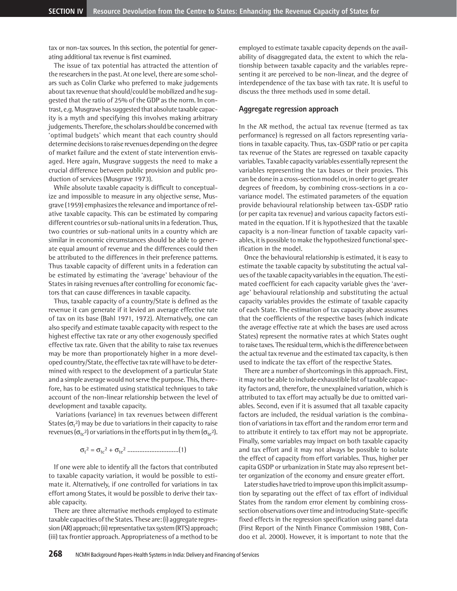tax or non-tax sources. In this section, the potential for generating additional tax revenue is first examined.

The issue of tax potential has attracted the attention of the researchers in the past. At one level, there are some scholars such as Colin Clarke who preferred to make judgements about tax revenue that should/could be mobilized and he suggested that the ratio of 25% of the GDP as the norm. In contrast, e.g. Musgrave has suggested that absolute taxable capacity is a myth and specifying this involves making arbitrary judgements. Therefore, the scholars should be concerned with 'optimal budgets' which meant that each country should determine decisions to raise revenues depending on the degree of market failure and the extent of state intervention envisaged. Here again, Musgrave suggests the need to make a crucial difference between public provision and public production of services (Musgrave 1973).

While absolute taxable capacity is difficult to conceptualize and impossible to measure in any objective sense, Musgrave (1959) emphasizes the relevance and importance of relative taxable capacity. This can be estimated by comparing different countries or sub-national units in a federation. Thus, two countries or sub-national units in a country which are similar in economic circumstances should be able to generate equal amount of revenue and the differences could then be attributed to the differences in their preference patterns. Thus taxable capacity of different units in a federation can be estimated by estimating the 'average' behaviour of the States in raising revenues after controlling for economic factors that can cause differences in taxable capacity.

Thus, taxable capacity of a country/State is defined as the revenue it can generate if it levied an average effective rate of tax on its base (Bahl 1971, 1972). Alternatively, one can also specify and estimate taxable capacity with respect to the highest effective tax rate or any other exogenously specified effective tax rate. Given that the ability to raise tax revenues may be more than proportionately higher in a more developed country/State, the effective tax rate will have to be determined with respect to the development of a particular State and a simple average would not serve the purpose. This, therefore, has to be estimated using statistical techniques to take account of the non-linear relationship between the level of development and taxable capacity.

Variations (variance) in tax revenues between different States ( $\sigma_t$ <sup>2</sup>) may be due to variations in their capacity to raise revenues ( $\sigma_{\rm tc}$ <sup>2</sup>) or variations in the efforts put in by them ( $\sigma_{\rm te}$ <sup>2</sup>).

$$
\sigma_t^2 = \sigma_{tc}^2 + \sigma_{te}^2 \dots \dots \dots \dots \dots \dots \dots \dots (1)
$$

If one were able to identify all the factors that contributed to taxable capacity variation, it would be possible to estimate it. Alternatively, if one controlled for variations in tax effort among States, it would be possible to derive their taxable capacity.

There are three alternative methods employed to estimate taxable capacities of the States. These are: (i) aggregate regression (AR) approach; (ii) representative tax system (RTS) approach; (iii) tax frontier approach. Appropriateness of a method to be

employed to estimate taxable capacity depends on the availability of disaggregated data, the extent to which the relationship between taxable capacity and the variables representing it are perceived to be non-linear, and the degree of interdependence of the tax base with tax rate. It is useful to discuss the three methods used in some detail.

#### **Aggregate regression approach**

In the AR method, the actual tax revenue (termed as tax performance) is regressed on all factors representing variations in taxable capacity. Thus, tax-GSDP ratio or per capita tax revenue of the States are regressed on taxable capacity variables. Taxable capacity variables essentially represent the variables representing the tax bases or their proxies. This can be done in a cross-section model or, in order to get greater degrees of freedom, by combining cross-sections in a covariance model. The estimated parameters of the equation provide behavioural relationship between tax-GSDP ratio (or per capita tax revenue) and various capacity factors estimated in the equation. If it is hypothesized that the taxable capacity is a non-linear function of taxable capacity variables, it is possible to make the hypothesized functional specification in the model.

Once the behavioural relationship is estimated, it is easy to estimate the taxable capacity by substituting the actual values of the taxable capacity variables in the equation. The estimated coefficient for each capacity variable gives the 'average' behavioural relationship and substituting the actual capacity variables provides the estimate of taxable capacity of each State. The estimation of tax capacity above assumes that the coefficients of the respective bases (which indicate the average effective rate at which the bases are used across States) represent the normative rates at which States ought to raise taxes. The residual term, which is the difference between the actual tax revenue and the estimated tax capacity, is then used to indicate the tax effort of the respective States.

There are a number of shortcomings in this approach. First, it may not be able to include exhaustible list of taxable capacity factors and, therefore, the unexplained variation, which is attributed to tax effort may actually be due to omitted variables. Second, even if it is assumed that all taxable capacity factors are included, the residual variation is the combination of variations in tax effort and the random error term and to attribute it entirely to tax effort may not be appropriate. Finally, some variables may impact on both taxable capacity and tax effort and it may not always be possible to isolate the effect of capacity from effort variables. Thus, higher per capita GSDP or urbanization in State may also represent better organization of the economy and ensure greater effort.

Later studies have tried to improve upon this implicit assumption by separating out the effect of tax effort of individual States from the random error element by combining crosssection observations over time and introducing State-specific fixed effects in the regression specification using panel data (First Report of the Ninth Finance Commission 1988, Condoo et al. 2000). However, it is important to note that the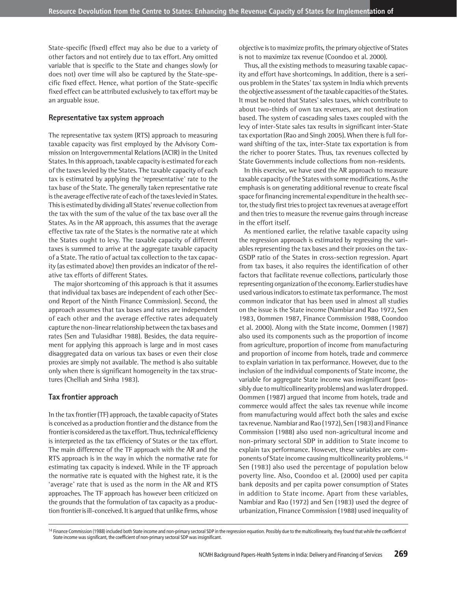State-specific (fixed) effect may also be due to a variety of other factors and not entirely due to tax effort. Any omitted variable that is specific to the State and changes slowly (or does not) over time will also be captured by the State-specific fixed effect. Hence, what portion of the State-specific fixed effect can be attributed exclusively to tax effort may be an arguable issue.

#### **Representative tax system approach**

The representative tax system (RTS) approach to measuring taxable capacity was first employed by the Advisory Commission on Intergovernmental Relations (ACIR) in the United States. In this approach, taxable capacity is estimated for each of the taxes levied by the States. The taxable capacity of each tax is estimated by applying the 'representative' rate to the tax base of the State. The generally taken representative rate is the average effective rate of each of the taxes levied in States. This is estimated by dividing all States' revenue collection from the tax with the sum of the value of the tax base over all the States. As in the AR approach, this assumes that the average effective tax rate of the States is the normative rate at which the States ought to levy. The taxable capacity of different taxes is summed to arrive at the aggregate taxable capacity of a State. The ratio of actual tax collection to the tax capacity (as estimated above) then provides an indicator of the relative tax efforts of different States.

The major shortcoming of this approach is that it assumes that individual tax bases are independent of each other (Second Report of the Ninth Finance Commission). Second, the approach assumes that tax bases and rates are independent of each other and the average effective rates adequately capture the non-linear relationship between the tax bases and rates (Sen and Tulasidhar 1988). Besides, the data requirement for applying this approach is large and in most cases disaggregated data on various tax bases or even their close proxies are simply not available. The method is also suitable only when there is significant homogeneity in the tax structures (Chelliah and Sinha 1983).

#### **Tax frontier approach**

In the tax frontier (TF) approach, the taxable capacity of States is conceived as a production frontier and the distance from the frontier is considered as the tax effort. Thus, technical efficiency is interpreted as the tax efficiency of States or the tax effort. The main difference of the TF approach with the AR and the RTS approach is in the way in which the normative rate for estimating tax capacity is indexed. While in the TF approach the normative rate is equated with the highest rate, it is the 'average' rate that is used as the norm in the AR and RTS approaches. The TF approach has however been criticized on the grounds that the formulation of tax capacity as a production frontier is ill-conceived. It is argued that unlike firms, whose

objective is to maximize profits, the primary objective of States is not to maximize tax revenue (Coondoo et al. 2000).

Thus, all the existing methods to measuring taxable capacity and effort have shortcomings. In addition, there is a serious problem in the States' tax system in India which prevents the objective assessment of the taxable capacities of the States. It must be noted that States' sales taxes, which contribute to about two-thirds of own tax revenues, are not destination based. The system of cascading sales taxes coupled with the levy of inter-State sales tax results in significant inter-State tax exportation (Rao and Singh 2005). When there is full forward shifting of the tax, inter-State tax exportation is from the richer to poorer States. Thus, tax revenues collected by State Governments include collections from non-residents.

In this exercise, we have used the AR approach to measure taxable capacity of the States with some modifications. As the emphasis is on generating additional revenue to create fiscal space for financing incremental expenditure in the health sector, the study first tries to project tax revenues at average effort and then tries to measure the revenue gains through increase in the effort itself.

As mentioned earlier, the relative taxable capacity using the regression approach is estimated by regressing the variables representing the tax bases and their proxies on the tax-GSDP ratio of the States in cross-section regression. Apart from tax bases, it also requires the identification of other factors that facilitate revenue collections, particularly those representing organization of the economy. Earlier studies have used various indicators to estimate tax performance. The most common indicator that has been used in almost all studies on the issue is the State income (Nambiar and Rao 1972, Sen 1983, Oommen 1987, Finance Commission 1988, Coondoo et al. 2000). Along with the State income, Oommen (1987) also used its components such as the proportion of income from agriculture, proportion of income from manufacturing and proportion of income from hotels, trade and commerce to explain variation in tax performance. However, due to the inclusion of the individual components of State income, the variable for aggregate State income was insignificant (possibly due to multicollinearity problems) and was later dropped. Oommen (1987) argued that income from hotels, trade and commerce would affect the sales tax revenue while income from manufacturing would affect both the sales and excise tax revenue. Nambiar and Rao (1972), Sen (1983) and Finance Commission (1988) also used non-agricultural income and non-primary sectoral SDP in addition to State income to explain tax performance. However, these variables are components of State income causing multicollinearity problems.<sup>14</sup> Sen (1983) also used the percentage of population below poverty line. Also, Coondoo et al. (2000) used per capita bank deposits and per capita power consumption of States in addition to State income. Apart from these variables, Nambiar and Rao (1972) and Sen (1983) used the degree of urbanization, Finance Commission (1988) used inequality of

<sup>&</sup>lt;sup>14</sup> Finance Commission (1988) included both State income and non-primary sectoral SDP in the regression equation. Possibly due to the multicollinearity, they found that while the coefficient of State income was significant, the coefficient of non-primary sectoral SDP was insignificant.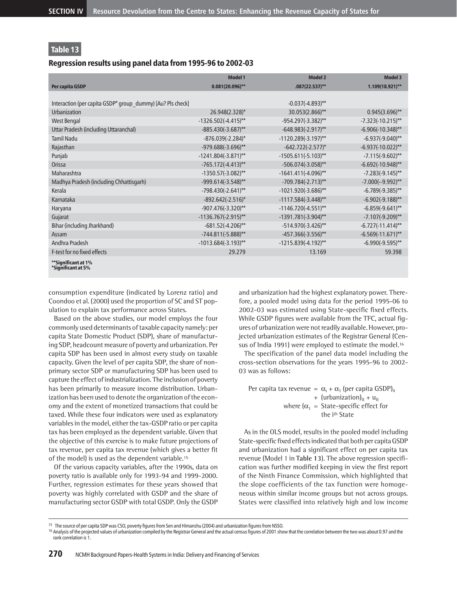### Regression results using panel data from 1995-96 to 2002-03

|                                                            | <b>Model 1</b>         | <b>Model 2</b>         | <b>Model 3</b>       |
|------------------------------------------------------------|------------------------|------------------------|----------------------|
| Per capita GSDP                                            | $0.081(20.096)$ **     | $.087(22.537)$ **      | 1.109(18.921)**      |
|                                                            |                        |                        |                      |
| Interaction (per capita GSDP* group dummy) [Au? Pls check] |                        | $-0.037(-4.893)$ **    |                      |
| Urbanization                                               | 26.948(2.328)*         | 30.053(2.866)**        | $0.945(3.696)$ **    |
| West Bengal                                                | $-1326.502(-4.415)$ ** | -954.297(-3.382)**     | $-7.323(-10.215)$ ** |
| Uttar Pradesh (including Uttaranchal)                      | $-885.430(-3.687)$ **  | $-648.983(-2.917)$ **  | $-6.906(-10.348)$ ** |
| <b>Tamil Nadu</b>                                          | $-876.039(-2.284)^{*}$ | $-1120.289(-3.197)$ ** | $-6.937(-9.040)$ **  |
| Rajasthan                                                  | $-979.688(-3.696)$ **  | $-642.722(-2.577)^*$   | $-6.937(-10.022)$ ** |
| Punjab                                                     | $-1241.804(-3.871)$ ** | $-1505.611(-5.103)$ ** | $-7.115(-9.602)$ **  |
| Orissa                                                     | $-765.172(-4.413)$ **  | $-506.074(-3.058)$ **  | $-6.692(-10.948)$ ** |
| Maharashtra                                                | $-1350.57(-3.082)$ **  | $-1641.411(-4.096)$ ** | $-7.283(-9.145)$ **  |
| Madhya Pradesh (including Chhattisgarh)                    | $-999.614(-3.548)$ **  | $-709.784(-2.713)$ **  | $-7.000(-9.992)$ **  |
| Kerala                                                     | $-798.430(-2.641)$ **  | $-1021.920(-3.686)$ ** | $-6.789(-9.385)$ **  |
| Karnataka                                                  | $-892.642(-2.516)^{*}$ | $-1117.584(-3.448)$ ** | $-6.902(-9.188)$ **  |
| Haryana                                                    | $-907.476(-3.320)$ **  | $-1146.720(-4.551)$ ** | $-6.859(-9.641)$ **  |
| Gujarat                                                    | $-1136.767(-2.915)$ ** | $-1391.781(-3.904)$ ** | $-7.107(-9.209)$ **  |
| Bihar (including Jharkhand)                                | $-681.52(-4.206)$ **   | $-514.970(-3.426)$ **  | $-6.727(-11.414)$ ** |
| Assam                                                      | $-744.811(-5.888)$ **  | $-457.366(-3.556)$ **  | $-6.569(-11.671)$ ** |
| Andhra Pradesh                                             | $-1013.684(-3.193)$ ** | $-1215.839(-4.192)$ ** | $-6.990(-9.595)$ **  |
| F-test for no fixed effects                                | 29.279                 | 13.169                 | 59.398               |
| **Significant at 1%<br>*Significant at 5%                  |                        |                        |                      |

consumption expenditure (indicated by Lorenz ratio) and Coondoo et al. (2000) used the proportion of SC and ST population to explain tax performance across States.

Based on the above studies, our model employs the four commonly used determinants of taxable capacity namely: per capita State Domestic Product (SDP), share of manufacturing SDP, headcount measure of poverty and urbanization. Per capita SDP has been used in almost every study on taxable capacity. Given the level of per capita SDP, the share of nonprimary sector SDP or manufacturing SDP has been used to capture the effect of industrialization. The inclusion of poverty has been primarily to measure income distribution. Urbanization has been used to denote the organization of the economy and the extent of monetized transactions that could be taxed. While these four indicators were used as explanatory variables in the model, either the tax-GSDP ratio or per capita tax has been employed as the dependent variable. Given that the objective of this exercise is to make future projections of tax revenue, per capita tax revenue (which gives a better fit of the model) is used as the dependent variable.<sup>15</sup>

Of the various capacity variables, after the 1990s, data on poverty ratio is available only for 1993-94 and 1999-2000. Further, regression estimates for these years showed that poverty was highly correlated with GSDP and the share of manufacturing sector GSDP with total GSDP. Only the GSDP

and urbanization had the highest explanatory power. Therefore, a pooled model using data for the period 1995-06 to 2002-03 was estimated using State-specific fixed effects. While GSDP figures were available from the TFC, actual figures of urbanization were not readily available. However, projected urbanization estimates of the Registrar General (Census of India 1991) were employed to estimate the model.<sup>16</sup>

The specification of the panel data model including the cross-section observations for the years 1995-96 to 2002- 03 was as follows:

Per capita tax revenue =  $\alpha_{i} + \alpha_{1}$  (per capita GSDP)<sub>it</sub> + (urbanization) $_{it}$  + u<sub>it</sub> where  $(\alpha_1 = \text{State-specific effect for})$ the i<sup>th</sup> State

As in the OLS model, results in the pooled model including State-specific fixed effects indicated that both per capita GSDP and urbanization had a significant effect on per capita tax revenue (Model 1 in **Table 13**). The above regression specification was further modified keeping in view the first report of the Ninth Finance Commission, which highlighted that the slope coefficients of the tax function were homogeneous within similar income groups but not across groups. States were classified into relatively high and low income

<sup>&</sup>lt;sup>15</sup> The source of per capita SDP was CSO, poverty figures from Sen and Himanshu (2004) and urbanization figures from NSSO.

<sup>&</sup>lt;sup>16</sup> Analysis of the projected values of urbanization compiled by the Registrar General and the actual census figures of 2001 show that the correlation between the two was about 0.97 and the rank correlation is 1.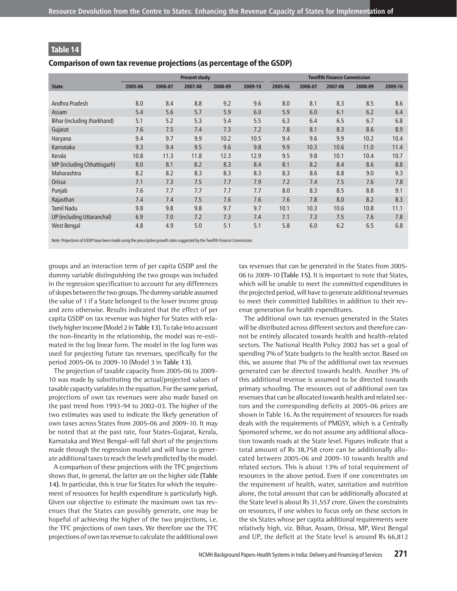#### Comparison of own tax revenue projections (as percentage of the GSDP)

|                             | <b>Present study</b> |         |         |         | <b>Twelfth Finance Commission</b> |         |         |         |         |         |
|-----------------------------|----------------------|---------|---------|---------|-----------------------------------|---------|---------|---------|---------|---------|
| <b>State</b>                | 2005-06              | 2006-07 | 2007-08 | 2008-09 | 2009-10                           | 2005-06 | 2006-07 | 2007-08 | 2008-09 | 2009-10 |
|                             |                      |         |         |         |                                   |         |         |         |         |         |
| Andhra Pradesh              | 8.0                  | 8.4     | 8.8     | 9.2     | 9.6                               | 8.0     | 8.1     | 8.3     | 8.5     | 8.6     |
| Assam                       | 5.4                  | 5.6     | 5.7     | 5.9     | 6.0                               | 5.9     | 6.0     | 6.1     | 6.2     | 6.4     |
| Bihar (including Jharkhand) | 5.1                  | 5.2     | 5.3     | 5.4     | 5.5                               | 6.3     | 6.4     | 6.5     | 6.7     | 6.8     |
| Gujarat                     | 7.6                  | 7.5     | 7.4     | 7.3     | 7.2                               | 7.8     | 8.1     | 8.3     | 8.6     | 8.9     |
| Haryana                     | 9.4                  | 9.7     | 9.9     | 10.2    | 10.5                              | 9.4     | 9.6     | 9.9     | 10.2    | 10.4    |
| Karnataka                   | 9.3                  | 9.4     | 9.5     | 9.6     | 9.8                               | 9.9     | 10.3    | 10.6    | 11.0    | 11.4    |
| Kerala                      | 10.8                 | 11.3    | 11.8    | 12.3    | 12.9                              | 9.5     | 9.8     | 10.1    | 10.4    | 10.7    |
| MP (including Chhattisgarh) | 8.0                  | 8.1     | 8.2     | 8.3     | 8.4                               | 8.1     | 8.2     | 8.4     | 8.6     | 8.8     |
| Maharashtra                 | 8.2                  | 8.2     | 8.3     | 8.3     | 8.3                               | 8.3     | 8.6     | 8.8     | 9.0     | 9.3     |
| Orissa                      | 7.1                  | 7.3     | 7.5     | 7.7     | 7.9                               | 7.2     | 7.4     | 7.5     | 7.6     | 7.8     |
| Punjab                      | 7.6                  | 7.7     | 7.7     | 7.7     | 7.7                               | 8.0     | 8.3     | 8.5     | 8.8     | 9.1     |
| Rajasthan                   | 7.4                  | 7.4     | 7.5     | 7.6     | 7.6                               | 7.6     | 7.8     | 8.0     | 8.2     | 8.3     |
| <b>Tamil Nadu</b>           | 9.8                  | 9.8     | 9.8     | 9.7     | 9.7                               | 10.1    | 10.3    | 10.6    | 10.8    | 11.1    |
| UP (including Uttaranchal)  | 6.9                  | 7.0     | 7.2     | 7.3     | 7.4                               | 7.1     | 7.3     | 7.5     | 7.6     | 7.8     |
| <b>West Bengal</b>          | 4.8                  | 4.9     | 5.0     | 5.1     | 5.1                               | 5.8     | 6.0     | 6.2     | 6.5     | 6.8     |

Note: Projections of GSDP have been made using the prescriptive growth rates suggested by the Twelfth Finance Commission

groups and an interaction term of per capita GSDP and the dummy variable distinguishing the two groups was included in the regression specification to account for any differences of slopes between the two groups. The dummy variable assumed the value of 1 if a State belonged to the lower income group and zero otherwise. Results indicated that the effect of per capita GSDP on tax revenue was higher for States with relatively higher income (Model 2 in **Table 13**). To take into account the non-linearity in the relationship, the model was re-estimated in the log linear form. The model in the log form was used for projecting future tax revenues, specifically for the period 2005-06 to 2009-10 (Model 3 in **Table 13**).

The projection of taxable capacity from 2005-06 to 2009- 10 was made by substituting the actual/projected values of taxable capacity variables in the equation. For the same period, projections of own tax revenues were also made based on the past trend from 1993-94 to 2002-03. The higher of the two estimates was used to indicate the likely generation of own taxes across States from 2005-06 and 2009-10. It may be noted that at the past rate, four States-Gujarat, Kerala, Karnataka and West Bengal-will fall short of the projections made through the regression model and will have to generate additional taxes to reach the levels predicted by the model.

A comparison of these projections with the TFC projections shows that, in general, the latter are on the higher side **(Table 14)**. In particular, this is true for States for which the requirement of resources for health expenditure is particularly high. Given our objective to estimate the maximum own tax revenues that the States can possibly generate, one may be hopeful of achieving the higher of the two projections, i.e. the TFC projections of own taxes. We therefore use the TFC projections of own tax revenue to calculate the additional own

tax revenues that can be generated in the States from 2005- 06 to 2009-10 **(Table 15)**. It is important to note that States, which will be unable to meet the committed expenditures in the projected period, will have to generate additional revenues to meet their committed liabilities in addition to their revenue generation for health expenditures.

The additional own tax revenues generated in the States will be distributed across different sectors and therefore cannot be entirely allocated towards health and health-related sectors. The National Health Policy 2002 has set a goal of spending 7% of State budgets to the health sector. Based on this, we assume that 7% of the additional own tax revenues generated can be directed towards health. Another 3% of this additional revenue is assumed to be directed towards primary schooling. The resources out of additional own tax revenues that can be allocated towards health and related sectors and the corresponding deficits at 2005-06 prices are shown in Table 16. As the requirement of resources for roads deals with the requirements of PMGSY, which is a Centrally Sponsored scheme, we do not assume any additional allocation towards roads at the State level. Figures indicate that a total amount of Rs 38,758 crore can be additionally allocated between 2005-06 and 2009-10 towards health and related sectors. This is about 13% of total requirement of resources in the above period. Even if one concentrates on the requirement of health, water, sanitation and nutrition alone, the total amount that can be additionally allocated at the State level is about Rs 31,557 crore. Given the constraints on resources, if one wishes to focus only on these sectors in the six States whose per capita additional requirements were relatively high, viz. Bihar, Assam, Orissa, MP, West Bengal and UP, the deficit at the State level is around Rs 66,812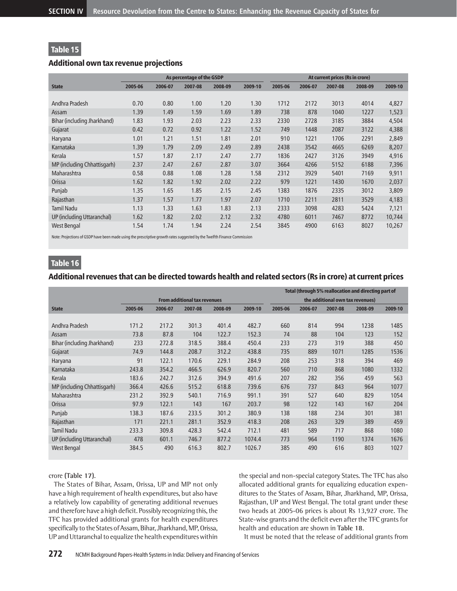### Additional own tax revenue projections

|                             | As percentage of the GSDP |         |         |         | At current prices (Rs in crore) |         |         |         |         |         |
|-----------------------------|---------------------------|---------|---------|---------|---------------------------------|---------|---------|---------|---------|---------|
| <b>State</b>                | 2005-06                   | 2006-07 | 2007-08 | 2008-09 | 2009-10                         | 2005-06 | 2006-07 | 2007-08 | 2008-09 | 2009-10 |
|                             |                           |         |         |         |                                 |         |         |         |         |         |
| Andhra Pradesh              | 0.70                      | 0.80    | 1.00    | 1.20    | 1.30                            | 1712    | 2172    | 3013    | 4014    | 4,827   |
| Assam                       | 1.39                      | 1.49    | 1.59    | 1.69    | 1.89                            | 738     | 878     | 1040    | 1227    | 1,523   |
| Bihar (including Jharkhand) | 1.83                      | 1.93    | 2.03    | 2.23    | 2.33                            | 2330    | 2728    | 3185    | 3884    | 4,504   |
| Gujarat                     | 0.42                      | 0.72    | 0.92    | 1.22    | 1.52                            | 749     | 1448    | 2087    | 3122    | 4,388   |
| Haryana                     | 1.01                      | 1.21    | 1.51    | 1.81    | 2.01                            | 910     | 1221    | 1706    | 2291    | 2,849   |
| Karnataka                   | 1.39                      | 1.79    | 2.09    | 2.49    | 2.89                            | 2438    | 3542    | 4665    | 6269    | 8,207   |
| Kerala                      | 1.57                      | 1.87    | 2.17    | 2.47    | 2.77                            | 1836    | 2427    | 3126    | 3949    | 4,916   |
| MP (including Chhattisgarh) | 2.37                      | 2.47    | 2.67    | 2.87    | 3.07                            | 3664    | 4266    | 5152    | 6188    | 7,396   |
| Maharashtra                 | 0.58                      | 0.88    | 1.08    | 1.28    | 1.58                            | 2312    | 3929    | 5401    | 7169    | 9,911   |
| Orissa                      | 1.62                      | 1.82    | 1.92    | 2.02    | 2.22                            | 979     | 1221    | 1430    | 1670    | 2,037   |
| Punjab                      | 1.35                      | 1.65    | 1.85    | 2.15    | 2.45                            | 1383    | 1876    | 2335    | 3012    | 3,809   |
| Rajasthan                   | 1.37                      | 1.57    | 1.77    | 1.97    | 2.07                            | 1710    | 2211    | 2811    | 3529    | 4,183   |
| <b>Tamil Nadu</b>           | 1.13                      | 1.33    | 1.63    | 1.83    | 2.13                            | 2333    | 3098    | 4283    | 5424    | 7,121   |
| UP (including Uttaranchal)  | 1.62                      | 1.82    | 2.02    | 2.12    | 2.32                            | 4780    | 6011    | 7467    | 8772    | 10,744  |
| West Bengal                 | 1.54                      | 1.74    | 1.94    | 2.24    | 2.54                            | 3845    | 4900    | 6163    | 8027    | 10,267  |

Note: Projections of GSDP have been made using the prescriptive growth rates suggested by the Twelfth Finance Commission

# Table 16

### Additional revenues that can be directed towards health and related sectors (Rs in crore) at current prices

|                             |                                     |         |         |         |                                  | Total (through 5% reallocation and directing part of |         |         |         |         |
|-----------------------------|-------------------------------------|---------|---------|---------|----------------------------------|------------------------------------------------------|---------|---------|---------|---------|
|                             | <b>From additional tax revenues</b> |         |         |         | the additional own tax revenues) |                                                      |         |         |         |         |
| <b>State</b>                | 2005-06                             | 2006-07 | 2007-08 | 2008-09 | 2009-10                          | 2005-06                                              | 2006-07 | 2007-08 | 2008-09 | 2009-10 |
|                             |                                     |         |         |         |                                  |                                                      |         |         |         |         |
| Andhra Pradesh              | 171.2                               | 217.2   | 301.3   | 401.4   | 482.7                            | 660                                                  | 814     | 994     | 1238    | 1485    |
| Assam                       | 73.8                                | 87.8    | 104     | 122.7   | 152.3                            | 74                                                   | 88      | 104     | 123     | 152     |
| Bihar (including Jharkhand) | 233                                 | 272.8   | 318.5   | 388.4   | 450.4                            | 233                                                  | 273     | 319     | 388     | 450     |
| Gujarat                     | 74.9                                | 144.8   | 208.7   | 312.2   | 438.8                            | 735                                                  | 889     | 1071    | 1285    | 1536    |
| Haryana                     | 91                                  | 122.1   | 170.6   | 229.1   | 284.9                            | 208                                                  | 253     | 318     | 394     | 469     |
| Karnataka                   | 243.8                               | 354.2   | 466.5   | 626.9   | 820.7                            | 560                                                  | 710     | 868     | 1080    | 1332    |
| Kerala                      | 183.6                               | 242.7   | 312.6   | 394.9   | 491.6                            | 207                                                  | 282     | 356     | 459     | 563     |
| MP (including Chhattisgarh) | 366.4                               | 426.6   | 515.2   | 618.8   | 739.6                            | 676                                                  | 737     | 843     | 964     | 1077    |
| Maharashtra                 | 231.2                               | 392.9   | 540.1   | 716.9   | 991.1                            | 391                                                  | 527     | 640     | 829     | 1054    |
| Orissa                      | 97.9                                | 122.1   | 143     | 167     | 203.7                            | 98                                                   | 122     | 143     | 167     | 204     |
| Punjab                      | 138.3                               | 187.6   | 233.5   | 301.2   | 380.9                            | 138                                                  | 188     | 234     | 301     | 381     |
| Rajasthan                   | 171                                 | 221.1   | 281.1   | 352.9   | 418.3                            | 208                                                  | 263     | 329     | 389     | 459     |
| <b>Tamil Nadu</b>           | 233.3                               | 309.8   | 428.3   | 542.4   | 712.1                            | 481                                                  | 589     | 717     | 868     | 1080    |
| UP (including Uttaranchal)  | 478                                 | 601.1   | 746.7   | 877.2   | 1074.4                           | 773                                                  | 964     | 1190    | 1374    | 1676    |
| West Bengal                 | 384.5                               | 490     | 616.3   | 802.7   | 1026.7                           | 385                                                  | 490     | 616     | 803     | 1027    |

### crore **(Table 17)**.

The States of Bihar, Assam, Orissa, UP and MP not only have a high requirement of health expenditures, but also have a relatively low capability of generating additional revenues and therefore have a high deficit. Possibly recognizing this, the TFC has provided additional grants for health expenditures specifically to the States of Assam, Bihar, Jharkhand, MP, Orissa, UP and Uttaranchal to equalize the health expenditures within

the special and non-special category States. The TFC has also allocated additional grants for equalizing education expenditures to the States of Assam, Bihar, Jharkhand, MP, Orissa, Rajasthan, UP and West Bengal. The total grant under these two heads at 2005-06 prices is about Rs 13,927 crore. The State-wise grants and the deficit even after the TFC grants for health and education are shown in **Table 18**.

It must be noted that the release of additional grants from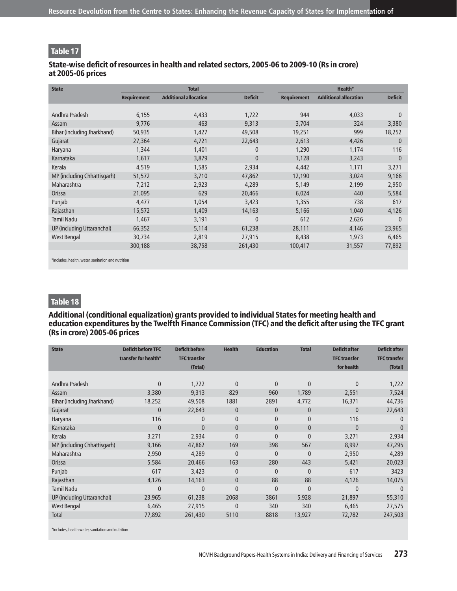### State-wise deficit of resources in health and related sectors, 2005-06 to 2009-10 (Rs in crore) at 2005-06 prices

| <b>State</b>                |                    | <b>Total</b>                 |                |                    | Health*                      |                |  |  |  |  |
|-----------------------------|--------------------|------------------------------|----------------|--------------------|------------------------------|----------------|--|--|--|--|
|                             | <b>Requirement</b> | <b>Additional allocation</b> | <b>Deficit</b> | <b>Requirement</b> | <b>Additional allocation</b> | <b>Deficit</b> |  |  |  |  |
|                             |                    |                              |                |                    |                              |                |  |  |  |  |
| Andhra Pradesh              | 6,155              | 4,433                        | 1,722          | 944                | 4,033                        | $\mathbf{0}$   |  |  |  |  |
| Assam                       | 9,776              | 463                          | 9,313          | 3,704              | 324                          | 3,380          |  |  |  |  |
| Bihar (including Jharkhand) | 50,935             | 1,427                        | 49,508         | 19,251             | 999                          | 18,252         |  |  |  |  |
| Gujarat                     | 27,364             | 4,721                        | 22,643         | 2,613              | 4,426                        | $\mathbf{0}$   |  |  |  |  |
| Haryana                     | 1,344              | 1,401                        | $\mathbf{0}$   | 1,290              | 1,174                        | 116            |  |  |  |  |
| Karnataka                   | 1,617              | 3,879                        | $\mathbf{0}$   | 1,128              | 3,243                        | $\mathbf{0}$   |  |  |  |  |
| Kerala                      | 4,519              | 1,585                        | 2,934          | 4,442              | 1,171                        | 3,271          |  |  |  |  |
| MP (including Chhattisgarh) | 51,572             | 3,710                        | 47,862         | 12,190             | 3,024                        | 9,166          |  |  |  |  |
| Maharashtra                 | 7,212              | 2,923                        | 4,289          | 5,149              | 2,199                        | 2,950          |  |  |  |  |
| Orissa                      | 21,095             | 629                          | 20,466         | 6,024              | 440                          | 5,584          |  |  |  |  |
| Punjab                      | 4,477              | 1,054                        | 3,423          | 1,355              | 738                          | 617            |  |  |  |  |
| Rajasthan                   | 15,572             | 1,409                        | 14,163         | 5,166              | 1,040                        | 4,126          |  |  |  |  |
| <b>Tamil Nadu</b>           | 1,467              | 3,191                        | $\mathbf{0}$   | 612                | 2,626                        | $\mathbf{0}$   |  |  |  |  |
| UP (including Uttaranchal)  | 66,352             | 5,114                        | 61,238         | 28,111             | 4,146                        | 23,965         |  |  |  |  |
| West Bengal                 | 30,734             | 2,819                        | 27,915         | 8,438              | 1,973                        | 6,465          |  |  |  |  |
|                             | 300,188            | 38,758                       | 261,430        | 100,417            | 31,557                       | 77,892         |  |  |  |  |
|                             |                    |                              |                |                    |                              |                |  |  |  |  |

\*Includes, health, water, sanitation and nutrition

# Table 18

### Additional (conditional equalization) grants provided to individual States for meeting health and education expenditures by the Twelfth Finance Commission (TFC) and the deficit after using the TFC grant (Rs in crore) 2005-06 prices

| <b>State</b>                | <b>Deficit before TFC</b><br>transfer for health* | <b>Deficit before</b><br><b>TFC transfer</b><br>(Total) | <b>Health</b>  | <b>Education</b> | <b>Total</b> | <b>Deficit after</b><br><b>TFC transfer</b><br>for health | <b>Deficit after</b><br><b>TFC transfer</b><br>(Total) |
|-----------------------------|---------------------------------------------------|---------------------------------------------------------|----------------|------------------|--------------|-----------------------------------------------------------|--------------------------------------------------------|
|                             |                                                   |                                                         |                |                  |              |                                                           |                                                        |
| Andhra Pradesh              | $\Omega$                                          | 1,722                                                   | $\overline{0}$ | $\mathbf{0}$     | $\mathbf{0}$ | 0                                                         | 1,722                                                  |
| Assam                       | 3,380                                             | 9,313                                                   | 829            | 960              | 1,789        | 2,551                                                     | 7,524                                                  |
| Bihar (including Jharkhand) | 18,252                                            | 49,508                                                  | 1881           | 2891             | 4,772        | 16,371                                                    | 44,736                                                 |
| Gujarat                     | $\mathbf{0}$                                      | 22,643                                                  | $\overline{0}$ | $\mathbf{0}$     | $\mathbf{0}$ | $\mathbf{0}$                                              | 22,643                                                 |
| Haryana                     | 116                                               | $\mathbf{0}$                                            | 0              | 0                | $\mathbf{0}$ | 116                                                       | $\mathbf{0}$                                           |
| Karnataka                   | $\mathbf{0}$                                      | $\overline{0}$                                          | $\mathbf{0}$   | $\mathbf{0}$     | $\mathbf{0}$ | $\mathbf{0}$                                              | $\mathbf{0}$                                           |
| Kerala                      | 3,271                                             | 2,934                                                   | $\overline{0}$ | $\Omega$         | $\mathbf{0}$ | 3,271                                                     | 2,934                                                  |
| MP (including Chhattisgarh) | 9,166                                             | 47,862                                                  | 169            | 398              | 567          | 8,997                                                     | 47,295                                                 |
| Maharashtra                 | 2,950                                             | 4,289                                                   | $\overline{0}$ | $\overline{0}$   | $\mathbf{0}$ | 2,950                                                     | 4,289                                                  |
| Orissa                      | 5,584                                             | 20,466                                                  | 163            | 280              | 443          | 5,421                                                     | 20,023                                                 |
| Punjab                      | 617                                               | 3,423                                                   | 0              | $\mathbf{0}$     | $\mathbf{0}$ | 617                                                       | 3423                                                   |
| Rajasthan                   | 4,126                                             | 14,163                                                  | $\mathbf{0}$   | 88               | 88           | 4,126                                                     | 14,075                                                 |
| <b>Tamil Nadu</b>           | $\overline{0}$                                    | $\overline{0}$                                          | $\overline{0}$ | $\overline{0}$   | $\mathbf{0}$ | $\overline{0}$                                            | $\Omega$                                               |
| UP (including Uttaranchal)  | 23,965                                            | 61,238                                                  | 2068           | 3861             | 5,928        | 21,897                                                    | 55,310                                                 |
| <b>West Bengal</b>          | 6,465                                             | 27,915                                                  | $\overline{0}$ | 340              | 340          | 6,465                                                     | 27,575                                                 |
| Total                       | 77,892                                            | 261,430                                                 | 5110           | 8818             | 13,927       | 72,782                                                    | 247,503                                                |
|                             |                                                   |                                                         |                |                  |              |                                                           |                                                        |

\*Includes, health water, sanitation and nutrition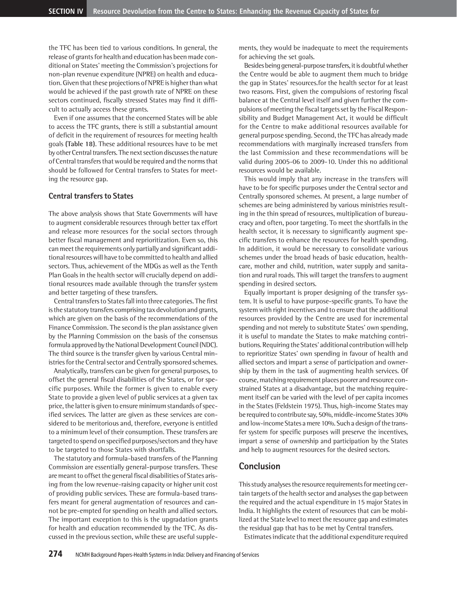the TFC has been tied to various conditions. In general, the release of grants for health and education has been made conditional on States' meeting the Commission's projections for non-plan revenue expenditure (NPRE) on health and education. Given that these projections of NPRE is higher than what would be achieved if the past growth rate of NPRE on these sectors continued, fiscally stressed States may find it difficult to actually access these grants.

Even if one assumes that the concerned States will be able to access the TFC grants, there is still a substantial amount of deficit in the requirement of resources for meeting health goals **(Table 18)**. These additional resources have to be met by other Central transfers. The next section discusses the nature of Central transfers that would be required and the norms that should be followed for Central transfers to States for meeting the resource gap.

#### **Central transfers to States**

The above analysis shows that State Governments will have to augment considerable resources through better tax effort and release more resources for the social sectors through better fiscal management and reprioritization. Even so, this can meet the requirements only partially and significant additional resources will have to be committed to health and allied sectors. Thus, achievement of the MDGs as well as the Tenth Plan Goals in the health sector will crucially depend on additional resources made available through the transfer system and better targeting of these transfers.

Central transfers to States fall into three categories. The first is the statutory transfers comprising tax devolution and grants, which are given on the basis of the recommendations of the Finance Commission. The second is the plan assistance given by the Planning Commission on the basis of the consensus formula approved by the National Development Council (NDC). The third source is the transfer given by various Central ministries for the Central sector and Centrally sponsored schemes.

Analytically, transfers can be given for general purposes, to offset the general fiscal disabilities of the States, or for specific purposes. While the former is given to enable every State to provide a given level of public services at a given tax price, the latter is given to ensure minimum standards of specified services. The latter are given as these services are considered to be meritorious and, therefore, everyone is entitled to a minimum level of their consumption. These transfers are targeted to spend on specified purposes/sectors and they have to be targeted to those States with shortfalls.

The statutory and formula-based transfers of the Planning Commission are essentially general-purpose transfers. These are meant to offset the general fiscal disabilities of States arising from the low revenue-raising capacity or higher unit cost of providing public services. These are formula-based transfers meant for general augmentation of resources and cannot be pre-empted for spending on health and allied sectors. The important exception to this is the upgradation grants for health and education recommended by the TFC. As discussed in the previous section, while these are useful supplements, they would be inadequate to meet the requirements for achieving the set goals.

Besides being general-purpose transfers, it is doubtful whether the Centre would be able to augment them much to bridge the gap in States' resources.for the health sector for at least two reasons. First, given the compulsions of restoring fiscal balance at the Central level itself and given further the compulsions of meeting the fiscal targets set by the Fiscal Responsibility and Budget Management Act, it would be difficult for the Centre to make additional resources available for general purpose spending. Second, the TFC has already made recommendations with marginally increased transfers from the last Commission and these recommendations will be valid during 2005-06 to 2009-10. Under this no additional resources would be available.

This would imply that any increase in the transfers will have to be for specific purposes under the Central sector and Centrally sponsored schemes. At present, a large number of schemes are being administered by various ministries resulting in the thin spread of resources, multiplication of bureaucracy and often, poor targeting. To meet the shortfalls in the health sector, it is necessary to significantly augment specific transfers to enhance the resources for health spending. In addition, it would be necessary to consolidate various schemes under the broad heads of basic education, healthcare, mother and child, nutrition, water supply and sanitation and rural roads. This will target the transfers to augment spending in desired sectors.

Equally important is proper designing of the transfer system. It is useful to have purpose-specific grants. To have the system with right incentives and to ensure that the additional resources provided by the Centre are used for incremental spending and not merely to substitute States' own spending, it is useful to mandate the States to make matching contributions. Requiring the States' additional contribution will help to reprioritize States' own spending in favour of health and allied sectors and impart a sense of participation and ownership by them in the task of augmenting health services. Of course, matching requirement places poorer and resource constrained States at a disadvantage, but the matching requirement itself can be varied with the level of per capita incomes in the States (Feldstein 1975). Thus, high-income States may be required to contribute say, 50%, middle-income States 30% and low-income States a mere 10%. Such a design of the transfer system for specific purposes will preserve the incentives, impart a sense of ownership and participation by the States and help to augment resources for the desired sectors.

### **Conclusion**

This study analyses the resource requirements for meeting certain targets of the health sector and analyses the gap between the required and the actual expenditure in 15 major States in India. It highlights the extent of resources that can be mobilized at the State level to meet the resource gap and estimates the residual gap that has to be met by Central transfers.

Estimates indicate that the additional expenditure required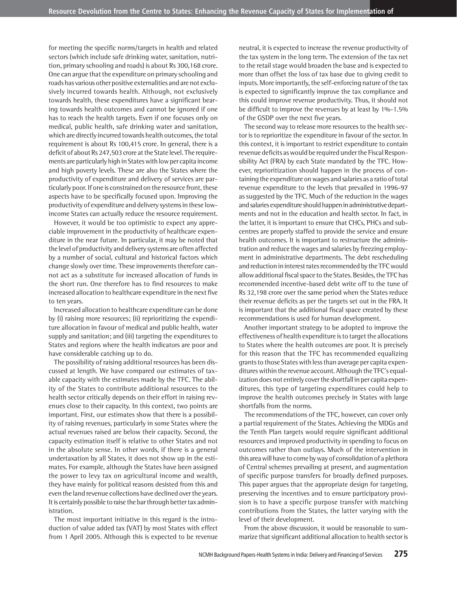for meeting the specific norms/targets in health and related sectors (which include safe drinking water, sanitation, nutrition, primary schooling and roads) is about Rs 300,168 crore. One can argue that the expenditure on primary schooling and roads has various other positive externalities and are not exclusively incurred towards health. Although, not exclusively towards health, these expenditures have a significant bearing towards health outcomes and cannot be ignored if one has to reach the health targets. Even if one focuses only on medical, public health, safe drinking water and sanitation, which are directly incurred towards health outcomes, the total requirement is about Rs 100,415 crore. In general, there is a deficit of about Rs 247,503 crore at the State level. The requirements are particularly high in States with low per capita income and high poverty levels. These are also the States where the productivity of expenditure and delivery of services are particularly poor. If one is constrained on the resource front, these aspects have to be specifically focused upon. Improving the productivity of expenditure and delivery systems in these lowincome States can actually reduce the resource requirement.

However, it would be too optimistic to expect any appreciable improvement in the productivity of healthcare expenditure in the near future. In particular, it may be noted that the level of productivity and delivery systems are often affected by a number of social, cultural and historical factors which change slowly over time. These improvements therefore cannot act as a substitute for increased allocation of funds in the short run. One therefore has to find resources to make increased allocation to healthcare expenditure in the next five to ten years.

Increased allocation to healthcare expenditure can be done by (i) raising more resources; (ii) reprioritizing the expenditure allocation in favour of medical and public health, water supply and sanitation; and (iii) targeting the expenditures to States and regions where the health indicators are poor and have considerable catching up to do.

The possibility of raising additional resources has been discussed at length. We have compared our estimates of taxable capacity with the estimates made by the TFC. The ability of the States to contribute additional resources to the health sector critically depends on their effort in raising revenues close to their capacity. In this context, two points are important. First, our estimates show that there is a possibility of raising revenues, particularly in some States where the actual revenues raised are below their capacity. Second, the capacity estimation itself is relative to other States and not in the absolute sense. In other words, if there is a general undertaxation by all States, it does not show up in the estimates. For example, although the States have been assigned the power to levy tax on agricultural income and wealth, they have mainly for political reasons desisted from this and even the land revenue collections have declined over the years. It is certainly possible to raise the bar through better tax administration.

The most important initiative in this regard is the introduction of value added tax (VAT) by most States with effect from 1 April 2005. Although this is expected to be revenue

neutral, it is expected to increase the revenue productivity of the tax system in the long term. The extension of the tax net to the retail stage would broaden the base and is expected to more than offset the loss of tax base due to giving credit to inputs. More importantly, the self-enforcing nature of the tax is expected to significantly improve the tax compliance and this could improve revenue productivity. Thus, it should not be difficult to improve the revenues by at least by 1%-1.5% of the GSDP over the next five years.

The second way to release more resources to the health sector is to reprioritize the expenditure in favour of the sector. In this context, it is important to restrict expenditure to contain revenue deficits as would be required under the Fiscal Responsibility Act (FRA) by each State mandated by the TFC. However, reprioritization should happen in the process of containing the expenditure on wages and salaries as a ratio of total revenue expenditure to the levels that prevailed in 1996-97 as suggested by the TFC. Much of the reduction in the wages and salaries expenditure should happen in administrative departments and not in the education and health sector. In fact, in the latter, it is important to ensure that CHCs, PHCs and subcentres are properly staffed to provide the service and ensure health outcomes. It is important to restructure the administration and reduce the wages and salaries by freezing employment in administrative departments. The debt rescheduling and reduction in interest rates recommended by the TFC would allow additional fiscal space to the States. Besides, the TFC has recommended incentive-based debt write off to the tune of Rs 32,198 crore over the same period when the States reduce their revenue deficits as per the targets set out in the FRA. It is important that the additional fiscal space created by these recommendations is used for human development.

Another important strategy to be adopted to improve the effectiveness of health expenditure is to target the allocations to States where the health outcomes are poor. It is precisely for this reason that the TFC has recommended equalizing grants to those States with less than average per capita expenditures within the revenue account. Although the TFC's equalization does not entirely cover the shortfall in per capita expenditures, this type of targeting expenditures could help to improve the health outcomes precisely in States with large shortfalls from the norms.

The recommendations of the TFC, however, can cover only a partial requirement of the States. Achieving the MDGs and the Tenth Plan targets would require significant additional resources and improved productivity in spending to focus on outcomes rather than outlays. Much of the intervention in this area will have to come by way of consolidation of a plethora of Central schemes prevailing at present, and augmentation of specific purpose transfers for broadly defined purposes. This paper argues that the appropriate design for targeting, preserving the incentives and to ensure participatory provision is to have a specific purpose transfer with matching contributions from the States, the latter varying with the level of their development.

From the above discussion, it would be reasonable to summarize that significant additional allocation to health sector is